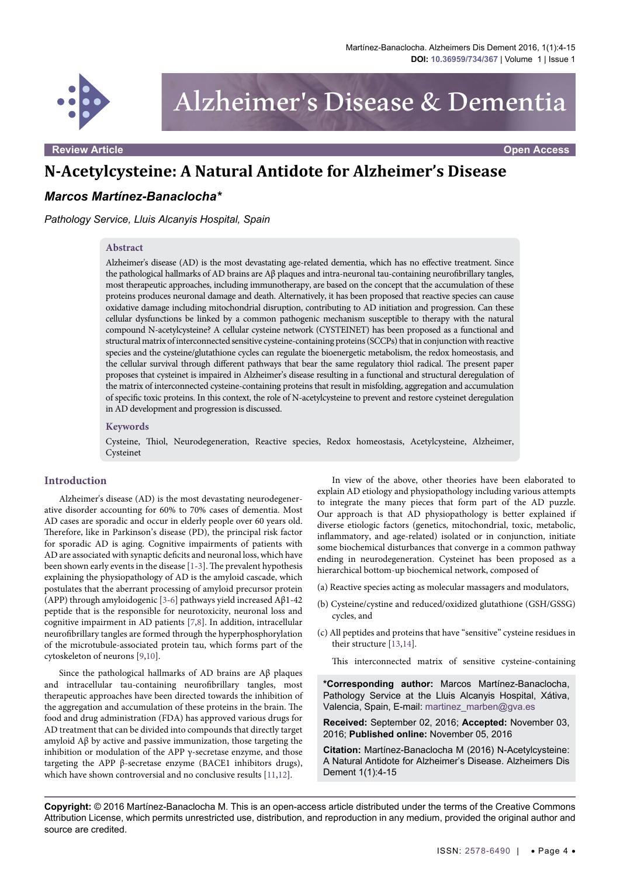

Alzheimer's Disease & Dementia

**Review Article Open Access**

# **N-Acetylcysteine: A Natural Antidote for Alzheimer's Disease**

# *Marcos Martínez-Banaclocha\**

*Pathology Service, Lluis Alcanyis Hospital, Spain* 

#### **Abstract**

Alzheimer's disease (AD) is the most devastating age-related dementia, which has no effective treatment. Since the pathological hallmarks of AD brains are Aβ plaques and intra-neuronal tau-containing neurofibrillary tangles, most therapeutic approaches, including immunotherapy, are based on the concept that the accumulation of these proteins produces neuronal damage and death. Alternatively, it has been proposed that reactive species can cause oxidative damage including mitochondrial disruption, contributing to AD initiation and progression. Can these cellular dysfunctions be linked by a common pathogenic mechanism susceptible to therapy with the natural compound N-acetylcysteine? A cellular cysteine network (CYSTEINET) has been proposed as a functional and structural matrix of interconnected sensitive cysteine-containing proteins (SCCPs) that in conjunction with reactive species and the cysteine/glutathione cycles can regulate the bioenergetic metabolism, the redox homeostasis, and the cellular survival through different pathways that bear the same regulatory thiol radical. The present paper proposes that cysteinet is impaired in Alzheimer's disease resulting in a functional and structural deregulation of the matrix of interconnected cysteine-containing proteins that result in misfolding, aggregation and accumulation of specific toxic proteins. In this context, the role of N-acetylcysteine to prevent and restore cysteinet deregulation in AD development and progression is discussed.

#### **Keywords**

Cysteine, Thiol, Neurodegeneration, Reactive species, Redox homeostasis, Acetylcysteine, Alzheimer, Cysteinet

## **Introduction**

Alzheimer's disease (AD) is the most devastating neurodegenerative disorder accounting for 60% to 70% cases of dementia. Most AD cases are sporadic and occur in elderly people over 60 years old. Therefore, like in Parkinson's disease (PD), the principal risk factor for sporadic AD is aging. Cognitive impairments of patients with AD are associated with synaptic deficits and neuronal loss, which have been shown early events in the disease [[1](#page-7-0)[-3](#page-7-1)]. The prevalent hypothesis explaining the physiopathology of AD is the amyloid cascade, which postulates that the aberrant processing of amyloid precursor protein (APP) through amyloidogenic [\[3](#page-7-1)-[6\]](#page-7-2) pathways yield increased Aβ1-42 peptide that is the responsible for neurotoxicity, neuronal loss and cognitive impairment in AD patients [[7](#page-7-3)[,8\]](#page-8-0). In addition, intracellular neurofibrillary tangles are formed through the hyperphosphorylation of the microtubule-associated protein tau, which forms part of the cytoskeleton of neurons [[9](#page-8-1)[,10\]](#page-8-2).

Since the pathological hallmarks of AD brains are Aβ plaques and intracellular tau-containing neurofibrillary tangles, most therapeutic approaches have been directed towards the inhibition of the aggregation and accumulation of these proteins in the brain. The food and drug administration (FDA) has approved various drugs for AD treatment that can be divided into compounds that directly target amyloid  $A\beta$  by active and passive immunization, those targeting the inhibition or modulation of the APP  $\gamma$ -secretase enzyme, and those targeting the APP β-secretase enzyme (BACE1 inhibitors drugs), which have shown controversial and no conclusive results [\[11](#page-8-3)[,12\]](#page-8-4).

In view of the above, other theories have been elaborated to explain AD etiology and physiopathology including various attempts to integrate the many pieces that form part of the AD puzzle. Our approach is that AD physiopathology is better explained if diverse etiologic factors (genetics, mitochondrial, toxic, metabolic, inflammatory, and age-related) isolated or in conjunction, initiate some biochemical disturbances that converge in a common pathway ending in neurodegeneration. Cysteinet has been proposed as a hierarchical bottom-up biochemical network, composed of

- (a) Reactive species acting as molecular massagers and modulators,
- (b) Cysteine/cystine and reduced/oxidized glutathione (GSH/GSSG) cycles, and
- (c) All peptides and proteins that have "sensitive" cysteine residues in their structure [[13,](#page-8-5)[14](#page-8-6)].
	- This interconnected matrix of sensitive cysteine-containing

**\*Corresponding author:** Marcos Martínez-Banaclocha, Pathology Service at the Lluis Alcanyis Hospital, Xátiva, Valencia, Spain, E-mail: martinez\_marben@gva.es

**Received:** September 02, 2016; **Accepted:** November 03, 2016; **Published online:** November 05, 2016

**Citation:** Martínez-Banaclocha M (2016) N-Acetylcysteine: A Natural Antidote for Alzheimer's Disease. Alzheimers Dis Dement 1(1):4-15

**Copyright:** © 2016 Martínez-Banaclocha M. This is an open-access article distributed under the terms of the Creative Commons Attribution License, which permits unrestricted use, distribution, and reproduction in any medium, provided the original author and source are credited.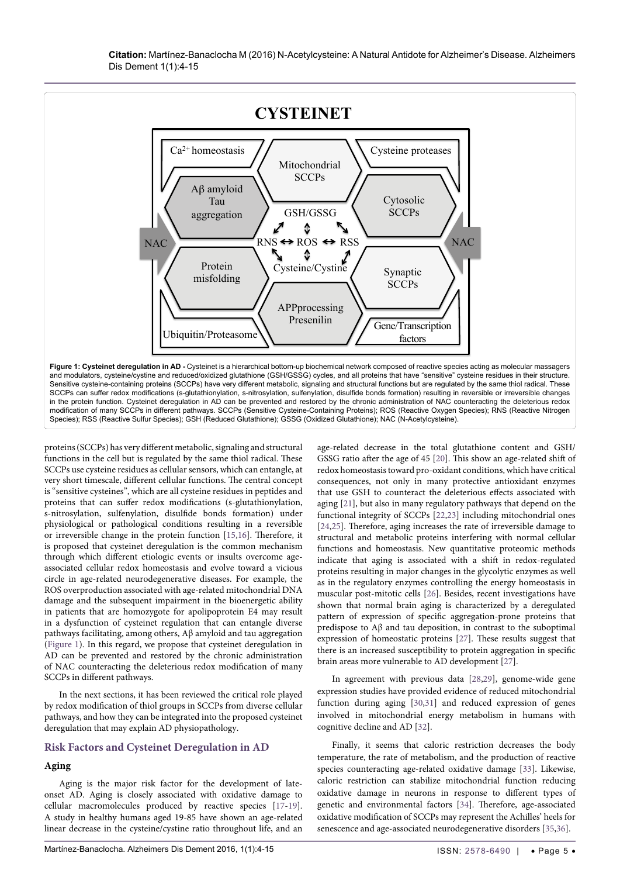

proteins (SCCPs) has very different metabolic, signaling and structural functions in the cell but is regulated by the same thiol radical. These SCCPs use cysteine residues as cellular sensors, which can entangle, at very short timescale, different cellular functions. The central concept is "sensitive cysteines", which are all cysteine residues in peptides and proteins that can suffer redox modifications (s-glutathionylation, s-nitrosylation, sulfenylation, disulfide bonds formation) under physiological or pathological conditions resulting in a reversible or irreversible change in the protein function [[15](#page-8-7)[,16\]](#page-8-8). Therefore, it is proposed that cysteinet deregulation is the common mechanism through which different etiologic events or insults overcome ageassociated cellular redox homeostasis and evolve toward a vicious circle in age-related neurodegenerative diseases. For example, the ROS overproduction associated with age-related mitochondrial DNA damage and the subsequent impairment in the bioenergetic ability in patients that are homozygote for apolipoprotein E4 may result in a dysfunction of cysteinet regulation that can entangle diverse pathways facilitating, among others, Aβ amyloid and tau aggregation (Figure 1). In this regard, we propose that cysteinet deregulation in AD can be prevented and restored by the chronic administration of NAC counteracting the deleterious redox modification of many SCCPs in different pathways.

In the next sections, it has been reviewed the critical role played by redox modification of thiol groups in SCCPs from diverse cellular pathways, and how they can be integrated into the proposed cysteinet deregulation that may explain AD physiopathology.

## **Risk Factors and Cysteinet Deregulation in AD**

# **Aging**

Aging is the major risk factor for the development of lateonset AD. Aging is closely associated with oxidative damage to cellular macromolecules produced by reactive species [[17-](#page-8-9)[19](#page-8-10)]. A study in healthy humans aged 19-85 have shown an age-related linear decrease in the cysteine/cystine ratio throughout life, and an

age-related decrease in the total glutathione content and GSH/ GSSG ratio after the age of 45 [[20](#page-8-11)]. This show an age-related shift of redox homeostasis toward pro-oxidant conditions, which have critical consequences, not only in many protective antioxidant enzymes that use GSH to counteract the deleterious effects associated with aging [[21](#page-8-12)], but also in many regulatory pathways that depend on the functional integrity of SCCPs [[22](#page-8-13)[,23](#page-8-14)] including mitochondrial ones [[24](#page-8-15),[25](#page-8-16)]. Therefore, aging increases the rate of irreversible damage to structural and metabolic proteins interfering with normal cellular functions and homeostasis. New quantitative proteomic methods indicate that aging is associated with a shift in redox-regulated proteins resulting in major changes in the glycolytic enzymes as well as in the regulatory enzymes controlling the energy homeostasis in muscular post-mitotic cells [[26\]](#page-8-17). Besides, recent investigations have shown that normal brain aging is characterized by a deregulated pattern of expression of specific aggregation-prone proteins that predispose to Aβ and tau deposition, in contrast to the suboptimal expression of homeostatic proteins [[27\]](#page-8-18). These results suggest that there is an increased susceptibility to protein aggregation in specific brain areas more vulnerable to AD development [[27\]](#page-8-18).

In agreement with previous data [\[28,](#page-8-19)[29\]](#page-8-20), genome-wide gene expression studies have provided evidence of reduced mitochondrial function during aging [\[30](#page-8-21)[,31\]](#page-8-22) and reduced expression of genes involved in mitochondrial energy metabolism in humans with cognitive decline and AD [\[32](#page-8-23)].

Finally, it seems that caloric restriction decreases the body temperature, the rate of metabolism, and the production of reactive species counteracting age-related oxidative damage [\[33\]](#page-8-24). Likewise, caloric restriction can stabilize mitochondrial function reducing oxidative damage in neurons in response to different types of genetic and environmental factors [[34](#page-8-25)]. Therefore, age-associated oxidative modification of SCCPs may represent the Achilles' heels for senescence and age-associated neurodegenerative disorders [[35](#page-8-26)[,36](#page-8-27)].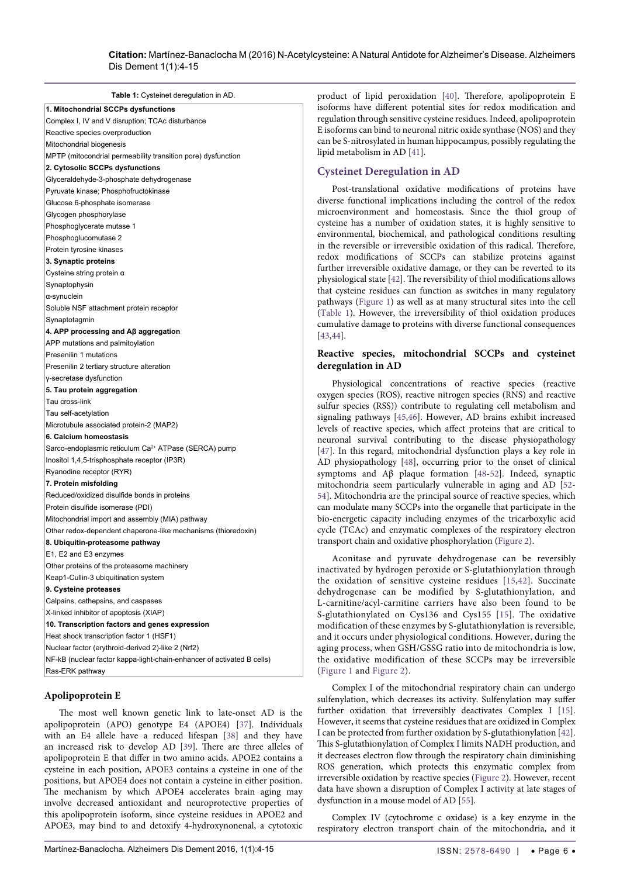| Table 1: Cysteinet deregulation in AD.                                 |                                                               | product of lipid peroxidation [40]. Therefore, apolipoprotein E                                                                                                                                                                                                                             |
|------------------------------------------------------------------------|---------------------------------------------------------------|---------------------------------------------------------------------------------------------------------------------------------------------------------------------------------------------------------------------------------------------------------------------------------------------|
| 1. Mitochondrial SCCPs dysfunctions                                    |                                                               | isoforms have different potential sites for redox modification and<br>regulation through sensitive cysteine residues. Indeed, apolipoprotein<br>E isoforms can bind to neuronal nitric oxide synthase (NOS) and they<br>can be S-nitrosylated in human hippocampus, possibly regulating the |
| Complex I, IV and V disruption; TCAc disturbance                       |                                                               |                                                                                                                                                                                                                                                                                             |
| Reactive species overproduction                                        |                                                               |                                                                                                                                                                                                                                                                                             |
| Mitochondrial biogenesis                                               |                                                               |                                                                                                                                                                                                                                                                                             |
| MPTP (mitocondrial permeability transition pore) dysfunction           |                                                               | lipid metabolism in AD [41].                                                                                                                                                                                                                                                                |
| 2. Cytosolic SCCPs dysfunctions                                        |                                                               |                                                                                                                                                                                                                                                                                             |
| Glyceraldehyde-3-phosphate dehydrogenase                               |                                                               | <b>Cysteinet Deregulation in AD</b>                                                                                                                                                                                                                                                         |
| Pyruvate kinase; Phosphofructokinase                                   |                                                               | Post-translational oxidative modifications of proteins have                                                                                                                                                                                                                                 |
| Glucose 6-phosphate isomerase                                          |                                                               | diverse functional implications including the control of the redox                                                                                                                                                                                                                          |
| Glycogen phosphorylase                                                 |                                                               | microenvironment and homeostasis. Since the thiol group of                                                                                                                                                                                                                                  |
| Phosphoglycerate mutase 1                                              |                                                               | cysteine has a number of oxidation states, it is highly sensitive to                                                                                                                                                                                                                        |
| Phosphoglucomutase 2                                                   |                                                               | environmental, biochemical, and pathological conditions resulting                                                                                                                                                                                                                           |
| Protein tyrosine kinases                                               |                                                               | in the reversible or irreversible oxidation of this radical. Therefore,                                                                                                                                                                                                                     |
| 3. Synaptic proteins                                                   |                                                               | redox modifications of SCCPs can stabilize proteins against                                                                                                                                                                                                                                 |
| Cysteine string protein α                                              |                                                               | further irreversible oxidative damage, or they can be reverted to its                                                                                                                                                                                                                       |
| Synaptophysin                                                          |                                                               | physiological state [42]. The reversibility of thiol modifications allows                                                                                                                                                                                                                   |
| α-synuclein                                                            |                                                               | that cysteine residues can function as switches in many regulatory                                                                                                                                                                                                                          |
| Soluble NSF attachment protein receptor                                |                                                               | pathways (Figure 1) as well as at many structural sites into the cell                                                                                                                                                                                                                       |
| Synaptotagmin                                                          |                                                               | (Table 1). However, the irreversibility of thiol oxidation produces                                                                                                                                                                                                                         |
| 4. APP processing and Aβ aggregation                                   |                                                               | cumulative damage to proteins with diverse functional consequences                                                                                                                                                                                                                          |
| APP mutations and palmitoylation                                       |                                                               | $[43, 44]$ .                                                                                                                                                                                                                                                                                |
| Presenilin 1 mutations                                                 |                                                               | Reactive species, mitochondrial SCCPs and cysteinet                                                                                                                                                                                                                                         |
| Presenilin 2 tertiary structure alteration                             |                                                               | deregulation in AD                                                                                                                                                                                                                                                                          |
| y-secretase dysfunction                                                |                                                               |                                                                                                                                                                                                                                                                                             |
| 5. Tau protein aggregation                                             |                                                               | Physiological concentrations of reactive species (reactive                                                                                                                                                                                                                                  |
| Tau cross-link                                                         |                                                               | oxygen species (ROS), reactive nitrogen species (RNS) and reactive                                                                                                                                                                                                                          |
| Tau self-acetylation                                                   |                                                               | sulfur species (RSS)) contribute to regulating cell metabolism and                                                                                                                                                                                                                          |
| Microtubule associated protein-2 (MAP2)                                |                                                               | signaling pathways [45,46]. However, AD brains exhibit increased                                                                                                                                                                                                                            |
| 6. Calcium homeostasis                                                 |                                                               | levels of reactive species, which affect proteins that are critical to                                                                                                                                                                                                                      |
| Sarco-endoplasmic reticulum Ca <sup>2+</sup> ATPase (SERCA) pump       |                                                               | neuronal survival contributing to the disease physiopathology                                                                                                                                                                                                                               |
| Inositol 1,4,5-trisphosphate receptor (IP3R)                           |                                                               | [47]. In this regard, mitochondrial dysfunction plays a key role in                                                                                                                                                                                                                         |
| Ryanodine receptor (RYR)                                               |                                                               | AD physiopathology [48], occurring prior to the onset of clinical<br>symptoms and Aβ plaque formation [48-52]. Indeed, synaptic                                                                                                                                                             |
| 7. Protein misfolding                                                  |                                                               | mitochondria seem particularly vulnerable in aging and AD [52-                                                                                                                                                                                                                              |
| Reduced/oxidized disulfide bonds in proteins                           |                                                               | 54]. Mitochondria are the principal source of reactive species, which                                                                                                                                                                                                                       |
| Protein disulfide isomerase (PDI)                                      |                                                               | can modulate many SCCPs into the organelle that participate in the                                                                                                                                                                                                                          |
| Mitochondrial import and assembly (MIA) pathway                        |                                                               | bio-energetic capacity including enzymes of the tricarboxylic acid                                                                                                                                                                                                                          |
|                                                                        | Other redox-dependent chaperone-like mechanisms (thioredoxin) | cycle (TCAc) and enzymatic complexes of the respiratory electron                                                                                                                                                                                                                            |
| 8. Ubiquitin-proteasome pathway                                        |                                                               | transport chain and oxidative phosphorylation (Figure 2).                                                                                                                                                                                                                                   |
| E1, E2 and E3 enzymes                                                  |                                                               |                                                                                                                                                                                                                                                                                             |
| Other proteins of the proteasome machinery                             |                                                               | Aconitase and pyruvate dehydrogenase can be reversibly                                                                                                                                                                                                                                      |
| Keap1-Cullin-3 ubiquitination system                                   |                                                               | inactivated by hydrogen peroxide or S-glutathionylation through                                                                                                                                                                                                                             |
| 9. Cysteine proteases                                                  |                                                               | the oxidation of sensitive cysteine residues [15,42]. Succinate                                                                                                                                                                                                                             |
| Calpains, cathepsins, and caspases                                     |                                                               | dehydrogenase can be modified by S-glutathionylation, and<br>L-carnitine/acyl-carnitine carriers have also been found to be                                                                                                                                                                 |
| X-linked inhibitor of apoptosis (XIAP)                                 |                                                               | S-glutathionylated on Cys136 and Cys155 [15]. The oxidative                                                                                                                                                                                                                                 |
| 10. Transcription factors and genes expression                         |                                                               | modification of these enzymes by S-glutathionylation is reversible,                                                                                                                                                                                                                         |
| Heat shock transcription factor 1 (HSF1)                               |                                                               | and it occurs under physiological conditions. However, during the                                                                                                                                                                                                                           |
| Nuclear factor (erythroid-derived 2)-like 2 (Nrf2)                     |                                                               | aging process, when GSH/GSSG ratio into de mitochondria is low,                                                                                                                                                                                                                             |
| NF-kB (nuclear factor kappa-light-chain-enhancer of activated B cells) |                                                               | the oxidative modification of these SCCPs may be irreversible                                                                                                                                                                                                                               |
| Ras-ERK pathway                                                        |                                                               | (Figure 1 and Figure 2).                                                                                                                                                                                                                                                                    |
|                                                                        |                                                               |                                                                                                                                                                                                                                                                                             |

# **Apolipoprotein E**

The most well known genetic link to late-onset AD is the apolipoprotein (APO) genotype E4 (APOE4) [[37\]](#page-8-28). Individuals with an E4 allele have a reduced lifespan [\[38](#page-8-29)] and they have an increased risk to develop AD [\[39\]](#page-8-30). There are three alleles of apolipoprotein E that differ in two amino acids. APOE2 contains a cysteine in each position, APOE3 contains a cysteine in one of the positions, but APOE4 does not contain a cysteine in either position. The mechanism by which APOE4 accelerates brain aging may involve decreased antioxidant and neuroprotective properties of this apolipoprotein isoform, since cysteine residues in APOE2 and APOE3, may bind to and detoxify 4-hydroxynonenal, a cytotoxic sulfenylation, which decreases its activity. Sulfenylation may suffer further oxidation that irreversibly deactivates Complex I [[15\]](#page-8-7). However, it seems that cysteine residues that are oxidized in Complex I can be protected from further oxidation by S-glutathionylation [[42\]](#page-8-33). This S-glutathionylation of Complex I limits NADH production, and it decreases electron flow through the respiratory chain diminishing ROS generation, which protects this enzymatic complex from irreversible oxidation by reactive species (Figure 2). However, recent data have shown a disruption of Complex I activity at late stages of dysfunction in a mouse model of AD [\[55\]](#page-8-42).

Complex I of the mitochondrial respiratory chain can undergo

Complex IV (cytochrome c oxidase) is a key enzyme in the respiratory electron transport chain of the mitochondria, and it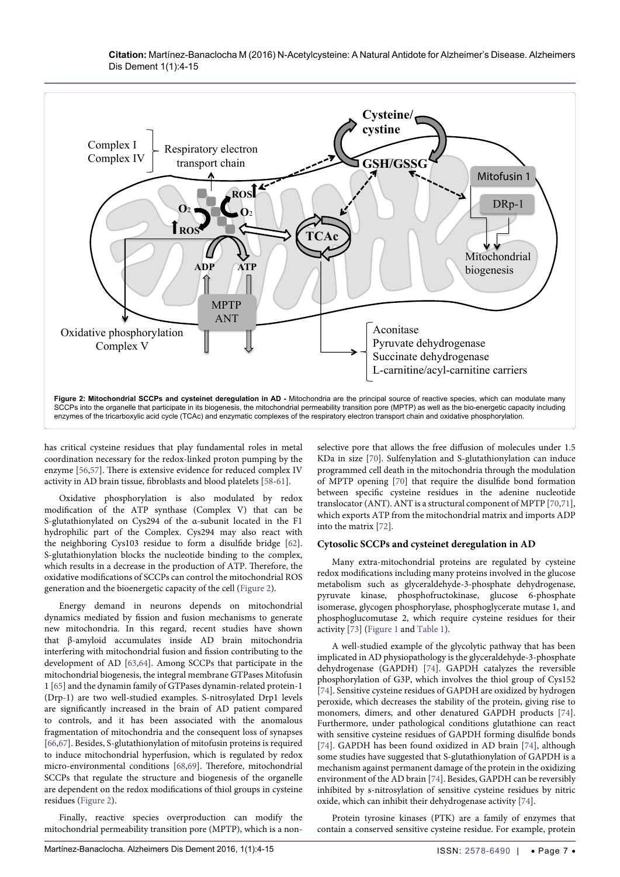**Citation:** Martínez-Banaclocha M (2016) N-Acetylcysteine: A Natural Antidote for Alzheimer's Disease. Alzheimers Dis Dement 1(1):4-15



has critical cysteine residues that play fundamental roles in metal coordination necessary for the redox-linked proton pumping by the enzyme [[56,](#page-8-43)[57](#page-8-44)]. There is extensive evidence for reduced complex IV activity in AD brain tissue, fibroblasts and blood platelets [[58](#page-8-45)-[61](#page-8-46)].

Oxidative phosphorylation is also modulated by redox modification of the ATP synthase (Complex V) that can be S-glutathionylated on Cys294 of the α-subunit located in the F1 hydrophilic part of the Complex. Cys294 may also react with the neighboring Cys103 residue to form a disulfide bridge [[62](#page-9-5)]. S-glutathionylation blocks the nucleotide binding to the complex, which results in a decrease in the production of ATP. Therefore, the oxidative modifications of SCCPs can control the mitochondrial ROS generation and the bioenergetic capacity of the cell (Figure 2).

Energy demand in neurons depends on mitochondrial dynamics mediated by fission and fusion mechanisms to generate new mitochondria. In this regard, recent studies have shown that β-amyloid accumulates inside AD brain mitochondria interfering with mitochondrial fusion and fission contributing to the development of AD [[63](#page-9-6)[,64\]](#page-9-7). Among SCCPs that participate in the mitochondrial biogenesis, the integral membrane GTPases Mitofusin 1 [[65](#page-9-8)] and the dynamin family of GTPases dynamin-related protein-1 (Drp-1) are two well-studied examples. S-nitrosylated Drp1 levels are significantly increased in the brain of AD patient compared to controls, and it has been associated with the anomalous fragmentation of mitochondria and the consequent loss of synapses [[66](#page-9-9)[,67\]](#page-9-10). Besides, S-glutathionylation of mitofusin proteins is required to induce mitochondrial hyperfusion, which is regulated by redox micro-environmental conditions [[68](#page-9-11)[,69\]](#page-9-12). Therefore, mitochondrial SCCPs that regulate the structure and biogenesis of the organelle are dependent on the redox modifications of thiol groups in cysteine residues (Figure 2).

Finally, reactive species overproduction can modify the mitochondrial permeability transition pore (MPTP), which is a nonselective pore that allows the free diffusion of molecules under 1.5 KDa in size [[70](#page-9-0)]. Sulfenylation and S-glutathionylation can induce programmed cell death in the mitochondria through the modulation of MPTP opening [[70\]](#page-9-0) that require the disulfide bond formation between specific cysteine residues in the adenine nucleotide translocator (ANT). ANT is a structural component of MPTP [\[70,](#page-9-0)[71\]](#page-9-1), which exports ATP from the mitochondrial matrix and imports ADP into the matrix [\[72\]](#page-9-2).

#### **Cytosolic SCCPs and cysteinet deregulation in AD**

Many extra-mitochondrial proteins are regulated by cysteine redox modifications including many proteins involved in the glucose metabolism such as glyceraldehyde-3-phosphate dehydrogenase, pyruvate kinase, phosphofructokinase, glucose 6-phosphate isomerase, glycogen phosphorylase, phosphoglycerate mutase 1, and phosphoglucomutase 2, which require cysteine residues for their activity [\[73\]](#page-9-3) (Figure 1 and Table 1).

A well-studied example of the glycolytic pathway that has been implicated in AD physiopathology is the glyceraldehyde-3-phosphate dehydrogenase (GAPDH) [[74](#page-9-4)]. GAPDH catalyzes the reversible phosphorylation of G3P, which involves the thiol group of Cys152 [[74](#page-9-4)]. Sensitive cysteine residues of GAPDH are oxidized by hydrogen peroxide, which decreases the stability of the protein, giving rise to monomers, dimers, and other denatured GAPDH products [[74\]](#page-9-4). Furthermore, under pathological conditions glutathione can react with sensitive cysteine residues of GAPDH forming disulfide bonds [[74](#page-9-4)]. GAPDH has been found oxidized in AD brain [[74](#page-9-4)], although some studies have suggested that S-glutathionylation of GAPDH is a mechanism against permanent damage of the protein in the oxidizing environment of the AD brain [\[74\]](#page-9-4). Besides, GAPDH can be reversibly inhibited by s-nitrosylation of sensitive cysteine residues by nitric oxide, which can inhibit their dehydrogenase activity [[74](#page-9-4)].

Protein tyrosine kinases (PTK) are a family of enzymes that contain a conserved sensitive cysteine residue. For example, protein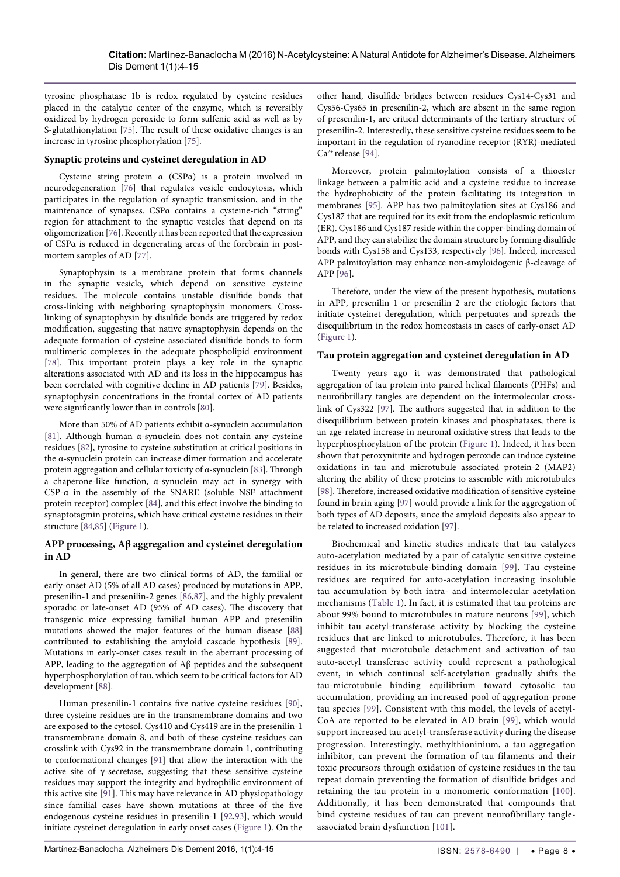tyrosine phosphatase 1b is redox regulated by cysteine residues placed in the catalytic center of the enzyme, which is reversibly oxidized by hydrogen peroxide to form sulfenic acid as well as by S-glutathionylation [\[75\]](#page-9-21). The result of these oxidative changes is an increase in tyrosine phosphorylation [[75](#page-9-21)].

#### **Synaptic proteins and cysteinet deregulation in AD**

Cysteine string protein α (CSPα) is a protein involved in neurodegeneration [\[76\]](#page-9-22) that regulates vesicle endocytosis, which participates in the regulation of synaptic transmission, and in the maintenance of synapses. CSPα contains a cysteine-rich "string" region for attachment to the synaptic vesicles that depend on its oligomerization [\[76](#page-9-22)]. Recently it has been reported that the expression of CSPα is reduced in degenerating areas of the forebrain in postmortem samples of AD [[77\]](#page-9-23).

Synaptophysin is a membrane protein that forms channels in the synaptic vesicle, which depend on sensitive cysteine residues. The molecule contains unstable disulfide bonds that cross-linking with neighboring synaptophysin monomers. Crosslinking of synaptophysin by disulfide bonds are triggered by redox modification, suggesting that native synaptophysin depends on the adequate formation of cysteine associated disulfide bonds to form multimeric complexes in the adequate phospholipid environment [[78](#page-9-24)]. This important protein plays a key role in the synaptic alterations associated with AD and its loss in the hippocampus has been correlated with cognitive decline in AD patients [\[79\]](#page-9-25). Besides, synaptophysin concentrations in the frontal cortex of AD patients were significantly lower than in controls [\[80](#page-9-26)].

More than 50% of AD patients exhibit α-synuclein accumulation [[81](#page-9-27)]. Although human α-synuclein does not contain any cysteine residues [\[82](#page-9-28)], tyrosine to cysteine substitution at critical positions in the α-synuclein protein can increase dimer formation and accelerate protein aggregation and cellular toxicity of α-synuclein [[83](#page-9-29)]. Through a chaperone-like function, α-synuclein may act in synergy with CSP-α in the assembly of the SNARE (soluble NSF attachment protein receptor) complex [[84](#page-9-30)], and this effect involve the binding to synaptotagmin proteins, which have critical cysteine residues in their structure [\[84,](#page-9-30)[85\]](#page-9-31) (Figure 1).

## **APP processing, Aβ aggregation and cysteinet deregulation in AD**

In general, there are two clinical forms of AD, the familial or early-onset AD (5% of all AD cases) produced by mutations in APP, presenilin-1 and presenilin-2 genes [\[86](#page-9-32)[,87\]](#page-9-33), and the highly prevalent sporadic or late-onset AD (95% of AD cases). The discovery that transgenic mice expressing familial human APP and presenilin mutations showed the major features of the human disease [[88](#page-9-34)] contributed to establishing the amyloid cascade hypothesis [[89](#page-9-35)]. Mutations in early-onset cases result in the aberrant processing of APP, leading to the aggregation of Aβ peptides and the subsequent hyperphosphorylation of tau, which seem to be critical factors for AD development [[88](#page-9-34)].

Human presenilin-1 contains five native cysteine residues [[90](#page-9-36)], three cysteine residues are in the transmembrane domains and two are exposed to the cytosol. Cys410 and Cys419 are in the presenilin-1 transmembrane domain 8, and both of these cysteine residues can crosslink with Cys92 in the transmembrane domain 1, contributing to conformational changes [[91](#page-9-37)] that allow the interaction with the active site of  $\gamma$ -secretase, suggesting that these sensitive cysteine residues may support the integrity and hydrophilic environment of this active site [[91\]](#page-9-37). This may have relevance in AD physiopathology since familial cases have shown mutations at three of the five endogenous cysteine residues in presenilin-1 [[92,](#page-9-38)[93](#page-9-39)], which would initiate cysteinet deregulation in early onset cases (Figure 1). On the

other hand, disulfide bridges between residues Cys14-Cys31 and Cys56-Cys65 in presenilin-2, which are absent in the same region of presenilin-1, are critical determinants of the tertiary structure of presenilin-2. Interestedly, these sensitive cysteine residues seem to be important in the regulation of ryanodine receptor (RYR)-mediated  $Ca<sup>2+</sup>$  release [[94\]](#page-9-13).

Moreover, protein palmitoylation consists of a thioester linkage between a palmitic acid and a cysteine residue to increase the hydrophobicity of the protein facilitating its integration in membranes [[95](#page-9-14)]. APP has two palmitoylation sites at Cys186 and Cys187 that are required for its exit from the endoplasmic reticulum (ER). Cys186 and Cys187 reside within the copper-binding domain of APP, and they can stabilize the domain structure by forming disulfide bonds with Cys158 and Cys133, respectively [\[96](#page-9-15)]. Indeed, increased APP palmitoylation may enhance non-amyloidogenic β-cleavage of APP [\[96\]](#page-9-15).

Therefore, under the view of the present hypothesis, mutations in APP, presenilin 1 or presenilin 2 are the etiologic factors that initiate cysteinet deregulation, which perpetuates and spreads the disequilibrium in the redox homeostasis in cases of early-onset AD (Figure 1).

#### **Tau protein aggregation and cysteinet deregulation in AD**

Twenty years ago it was demonstrated that pathological aggregation of tau protein into paired helical filaments (PHFs) and neurofibrillary tangles are dependent on the intermolecular crosslink of Cys322 [[97](#page-9-16)]. The authors suggested that in addition to the disequilibrium between protein kinases and phosphatases, there is an age-related increase in neuronal oxidative stress that leads to the hyperphosphorylation of the protein (Figure 1). Indeed, it has been shown that peroxynitrite and hydrogen peroxide can induce cysteine oxidations in tau and microtubule associated protein-2 (MAP2) altering the ability of these proteins to assemble with microtubules [[98](#page-9-17)]. Therefore, increased oxidative modification of sensitive cysteine found in brain aging [\[97\]](#page-9-16) would provide a link for the aggregation of both types of AD deposits, since the amyloid deposits also appear to be related to increased oxidation [\[97\]](#page-9-16).

Biochemical and kinetic studies indicate that tau catalyzes auto-acetylation mediated by a pair of catalytic sensitive cysteine residues in its microtubule-binding domain [[99\]](#page-9-18). Tau cysteine residues are required for auto-acetylation increasing insoluble tau accumulation by both intra- and intermolecular acetylation mechanisms (Table 1). In fact, it is estimated that tau proteins are about 99% bound to microtubules in mature neurons [[99](#page-9-18)], which inhibit tau acetyl-transferase activity by blocking the cysteine residues that are linked to microtubules. Therefore, it has been suggested that microtubule detachment and activation of tau auto-acetyl transferase activity could represent a pathological event, in which continual self-acetylation gradually shifts the tau-microtubule binding equilibrium toward cytosolic tau accumulation, providing an increased pool of aggregation-prone tau species [\[99](#page-9-18)]. Consistent with this model, the levels of acetyl-CoA are reported to be elevated in AD brain [[99\]](#page-9-18), which would support increased tau acetyl-transferase activity during the disease progression. Interestingly, methylthioninium, a tau aggregation inhibitor, can prevent the formation of tau filaments and their toxic precursors through oxidation of cysteine residues in the tau repeat domain preventing the formation of disulfide bridges and retaining the tau protein in a monomeric conformation [[100](#page-9-19)]. Additionally, it has been demonstrated that compounds that bind cysteine residues of tau can prevent neurofibrillary tangleassociated brain dysfunction [\[101\]](#page-9-20).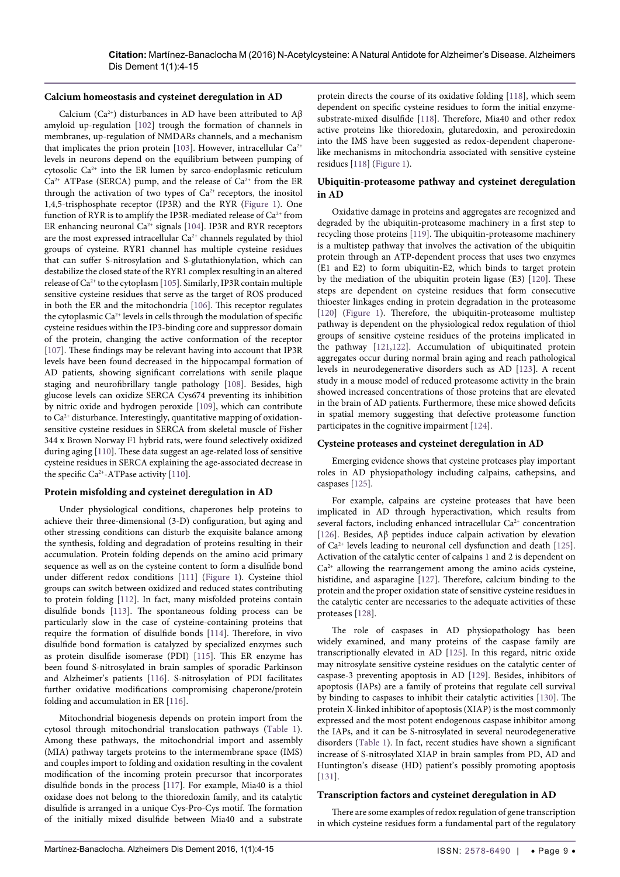#### **Calcium homeostasis and cysteinet deregulation in AD**

Calcium (Ca<sup>2+</sup>) disturbances in AD have been attributed to  $A\beta$ amyloid up-regulation [[102\]](#page-9-40) trough the formation of channels in membranes, up-regulation of NMDARs channels, and a mechanism that implicates the prion protein [\[103](#page-9-41)]. However, intracellular  $Ca^{2+}$ levels in neurons depend on the equilibrium between pumping of cytosolic Ca2+ into the ER lumen by sarco-endoplasmic reticulum  $Ca^{2+}$  ATPase (SERCA) pump, and the release of  $Ca^{2+}$  from the ER through the activation of two types of  $Ca<sup>2+</sup>$  receptors, the inositol 1,4,5-trisphosphate receptor (IP3R) and the RYR (Figure 1). One function of RYR is to amplify the IP3R-mediated release of  $Ca^{2+}$  from ER enhancing neuronal  $Ca^{2+}$  signals [[104\]](#page-9-42). IP3R and RYR receptors are the most expressed intracellular Ca<sup>2+</sup> channels regulated by thiol groups of cysteine. RYR1 channel has multiple cysteine residues that can suffer S-nitrosylation and S-glutathionylation, which can destabilize the closed state of the RYR1 complex resulting in an altered release of Ca2+ to the cytoplasm [[105\]](#page-9-43). Similarly, IP3R contain multiple sensitive cysteine residues that serve as the target of ROS produced in both the ER and the mitochondria [\[106](#page-9-44)]. This receptor regulates the cytoplasmic Ca2+ levels in cells through the modulation of specific cysteine residues within the IP3-binding core and suppressor domain of the protein, changing the active conformation of the receptor [[107\]](#page-9-45). These findings may be relevant having into account that IP3R levels have been found decreased in the hippocampal formation of AD patients, showing significant correlations with senile plaque staging and neurofibrillary tangle pathology [\[108](#page-9-46)]. Besides, high glucose levels can oxidize SERCA Cys674 preventing its inhibition by nitric oxide and hydrogen peroxide [\[109](#page-9-47)], which can contribute to  $Ca<sup>2+</sup>$  disturbance. Interestingly, quantitative mapping of oxidationsensitive cysteine residues in SERCA from skeletal muscle of Fisher 344 x Brown Norway F1 hybrid rats, were found selectively oxidized during aging [[110\]](#page-10-14). These data suggest an age-related loss of sensitive cysteine residues in SERCA explaining the age-associated decrease in the specific  $Ca^{2+}-ATP$ ase activity [[110\]](#page-10-14).

## **Protein misfolding and cysteinet deregulation in AD**

Under physiological conditions, chaperones help proteins to achieve their three-dimensional (3-D) configuration, but aging and other stressing conditions can disturb the exquisite balance among the synthesis, folding and degradation of proteins resulting in their accumulation. Protein folding depends on the amino acid primary sequence as well as on the cysteine content to form a disulfide bond under different redox conditions [[111\]](#page-10-15) (Figure 1). Cysteine thiol groups can switch between oxidized and reduced states contributing to protein folding [\[112](#page-10-16)]. In fact, many misfolded proteins contain disulfide bonds [[113\]](#page-10-17). The spontaneous folding process can be particularly slow in the case of cysteine-containing proteins that require the formation of disulfide bonds [[114\]](#page-10-18). Therefore, in vivo disulfide bond formation is catalyzed by specialized enzymes such as protein disulfide isomerase (PDI) [\[115\]](#page-10-19). This ER enzyme has been found S-nitrosylated in brain samples of sporadic Parkinson and Alzheimer's patients [[116](#page-10-20)]. S-nitrosylation of PDI facilitates further oxidative modifications compromising chaperone/protein folding and accumulation in ER [[116\]](#page-10-20).

Mitochondrial biogenesis depends on protein import from the cytosol through mitochondrial translocation pathways (Table 1). Among these pathways, the mitochondrial import and assembly (MIA) pathway targets proteins to the intermembrane space (IMS) and couples import to folding and oxidation resulting in the covalent modification of the incoming protein precursor that incorporates disulfide bonds in the process [[117\]](#page-10-21). For example, Mia40 is a thiol oxidase does not belong to the thioredoxin family, and its catalytic disulfide is arranged in a unique Cys-Pro-Cys motif. The formation of the initially mixed disulfide between Mia40 and a substrate protein directs the course of its oxidative folding [\[118](#page-10-0)], which seem dependent on specific cysteine residues to form the initial enzymesubstrate-mixed disulfide [[118\]](#page-10-0). Therefore, Mia40 and other redox active proteins like thioredoxin, glutaredoxin, and peroxiredoxin into the IMS have been suggested as redox-dependent chaperonelike mechanisms in mitochondria associated with sensitive cysteine residues [\[118](#page-10-0)] (Figure 1).

#### **Ubiquitin-proteasome pathway and cysteinet deregulation in AD**

Oxidative damage in proteins and aggregates are recognized and degraded by the ubiquitin-proteasome machinery in a first step to recycling those proteins [[119\]](#page-10-1). The ubiquitin-proteasome machinery is a multistep pathway that involves the activation of the ubiquitin protein through an ATP-dependent process that uses two enzymes (E1 and E2) to form ubiquitin-E2, which binds to target protein by the mediation of the ubiquitin protein ligase (E3) [[120\]](#page-10-2). These steps are dependent on cysteine residues that form consecutive thioester linkages ending in protein degradation in the proteasome [[120\]](#page-10-2) (Figure 1). Therefore, the ubiquitin-proteasome multistep pathway is dependent on the physiological redox regulation of thiol groups of sensitive cysteine residues of the proteins implicated in the pathway [[121](#page-10-3),[122\]](#page-10-4). Accumulation of ubiquitinated protein aggregates occur during normal brain aging and reach pathological levels in neurodegenerative disorders such as AD [[123](#page-10-5)]. A recent study in a mouse model of reduced proteasome activity in the brain showed increased concentrations of those proteins that are elevated in the brain of AD patients. Furthermore, these mice showed deficits in spatial memory suggesting that defective proteasome function participates in the cognitive impairment [[124\]](#page-10-6).

#### **Cysteine proteases and cysteinet deregulation in AD**

Emerging evidence shows that cysteine proteases play important roles in AD physiopathology including calpains, cathepsins, and caspases [\[125\]](#page-10-7).

For example, calpains are cysteine proteases that have been implicated in AD through hyperactivation, which results from several factors, including enhanced intracellular Ca<sup>2+</sup> concentration [[126\]](#page-10-8). Besides, Aβ peptides induce calpain activation by elevation of Ca2+ levels leading to neuronal cell dysfunction and death [[125\]](#page-10-7). Activation of the catalytic center of calpains 1 and 2 is dependent on  $Ca<sup>2+</sup>$  allowing the rearrangement among the amino acids cysteine, histidine, and asparagine [\[127](#page-10-9)]. Therefore, calcium binding to the protein and the proper oxidation state of sensitive cysteine residues in the catalytic center are necessaries to the adequate activities of these proteases [\[128](#page-10-10)].

The role of caspases in AD physiopathology has been widely examined, and many proteins of the caspase family are transcriptionally elevated in AD [\[125](#page-10-7)]. In this regard, nitric oxide may nitrosylate sensitive cysteine residues on the catalytic center of caspase-3 preventing apoptosis in AD [[129\]](#page-10-11). Besides, inhibitors of apoptosis (IAPs) are a family of proteins that regulate cell survival by binding to caspases to inhibit their catalytic activities [\[130](#page-10-12)]. The protein X-linked inhibitor of apoptosis (XIAP) is the most commonly expressed and the most potent endogenous caspase inhibitor among the IAPs, and it can be S-nitrosylated in several neurodegenerative disorders (Table 1). In fact, recent studies have shown a significant increase of S-nitrosylated XIAP in brain samples from PD, AD and Huntington's disease (HD) patient's possibly promoting apoptosis [[131\]](#page-10-13).

#### **Transcription factors and cysteinet deregulation in AD**

There are some examples of redox regulation of gene transcription in which cysteine residues form a fundamental part of the regulatory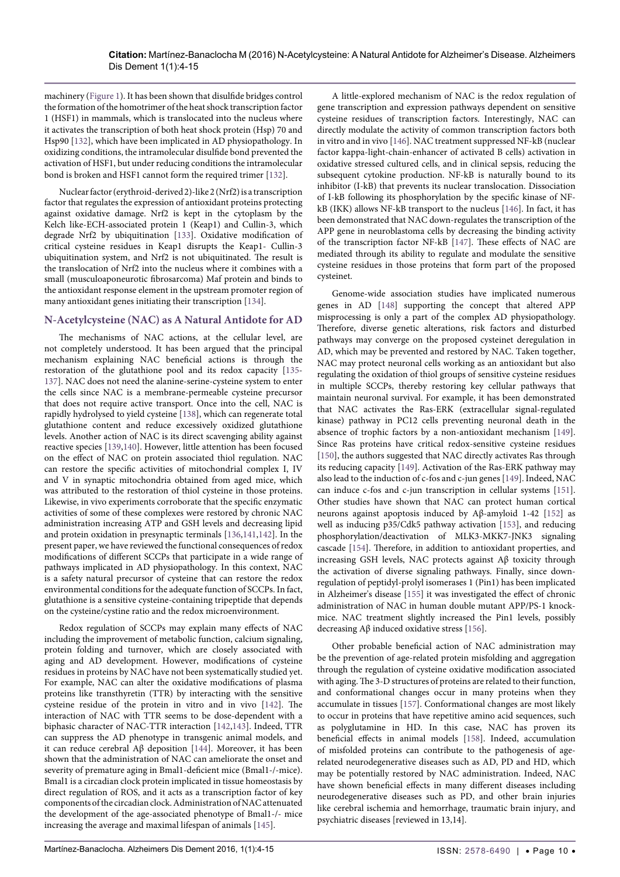machinery (Figure 1). It has been shown that disulfide bridges control the formation of the homotrimer of the heat shock transcription factor 1 (HSF1) in mammals, which is translocated into the nucleus where it activates the transcription of both heat shock protein (Hsp) 70 and Hsp90 [\[132](#page-10-35)], which have been implicated in AD physiopathology. In oxidizing conditions, the intramolecular disulfide bond prevented the activation of HSF1, but under reducing conditions the intramolecular bond is broken and HSF1 cannot form the required trimer [\[132](#page-10-35)].

Nuclear factor (erythroid-derived 2)-like 2 (Nrf2) is a transcription factor that regulates the expression of antioxidant proteins protecting against oxidative damage. Nrf2 is kept in the cytoplasm by the Kelch like-ECH-associated protein 1 (Keap1) and Cullin-3, which degrade Nrf2 by ubiquitination [\[133](#page-10-36)]. Oxidative modification of critical cysteine residues in Keap1 disrupts the Keap1- Cullin-3 ubiquitination system, and Nrf2 is not ubiquitinated. The result is the translocation of Nrf2 into the nucleus where it combines with a small (musculoaponeurotic fibrosarcoma) Maf protein and binds to the antioxidant response element in the upstream promoter region of many antioxidant genes initiating their transcription [\[134](#page-10-37)].

# **N-Acetylcysteine (NAC) as A Natural Antidote for AD**

The mechanisms of NAC actions, at the cellular level, are not completely understood. It has been argued that the principal mechanism explaining NAC beneficial actions is through the restoration of the glutathione pool and its redox capacity [\[135](#page-10-38)- [137](#page-10-39)]. NAC does not need the alanine-serine-cysteine system to enter the cells since NAC is a membrane-permeable cysteine precursor that does not require active transport. Once into the cell, NAC is rapidly hydrolysed to yield cysteine [\[138](#page-10-40)], which can regenerate total glutathione content and reduce excessively oxidized glutathione levels. Another action of NAC is its direct scavenging ability against reactive species [\[139](#page-10-41)[,140](#page-10-42)]. However, little attention has been focused on the effect of NAC on protein associated thiol regulation. NAC can restore the specific activities of mitochondrial complex I, IV and V in synaptic mitochondria obtained from aged mice, which was attributed to the restoration of thiol cysteine in those proteins. Likewise, in vivo experiments corroborate that the specific enzymatic activities of some of these complexes were restored by chronic NAC administration increasing ATP and GSH levels and decreasing lipid and protein oxidation in presynaptic terminals [\[136](#page-10-43)[,141](#page-10-44)[,142](#page-10-45)]. In the present paper, we have reviewed the functional consequences of redox modifications of different SCCPs that participate in a wide range of pathways implicated in AD physiopathology. In this context, NAC is a safety natural precursor of cysteine that can restore the redox environmental conditions for the adequate function of SCCPs. In fact, glutathione is a sensitive cysteine-containing tripeptide that depends on the cysteine/cystine ratio and the redox microenvironment.

Redox regulation of SCCPs may explain many effects of NAC including the improvement of metabolic function, calcium signaling, protein folding and turnover, which are closely associated with aging and AD development. However, modifications of cysteine residues in proteins by NAC have not been systematically studied yet. For example, NAC can alter the oxidative modifications of plasma proteins like transthyretin (TTR) by interacting with the sensitive cysteine residue of the protein in vitro and in vivo [\[142](#page-10-45)]. The interaction of NAC with TTR seems to be dose-dependent with a biphasic character of NAC-TTR interaction [\[142](#page-10-45)[,143](#page-10-46)]. Indeed, TTR can suppress the AD phenotype in transgenic animal models, and it can reduce cerebral Aβ deposition [[144](#page-10-47)]. Moreover, it has been shown that the administration of NAC can ameliorate the onset and severity of premature aging in Bmal1-deficient mice (Bmal1-/-mice). Bmal1 is a circadian clock protein implicated in tissue homeostasis by direct regulation of ROS, and it acts as a transcription factor of key components of the circadian clock. Administration of NAC attenuated the development of the age-associated phenotype of Bmal1-/- mice increasing the average and maximal lifespan of animals [\[145](#page-10-48)].

A little-explored mechanism of NAC is the redox regulation of gene transcription and expression pathways dependent on sensitive cysteine residues of transcription factors. Interestingly, NAC can directly modulate the activity of common transcription factors both in vitro and in vivo [\[146](#page-10-22)]. NAC treatment suppressed NF-kB (nuclear factor kappa-light-chain-enhancer of activated B cells) activation in oxidative stressed cultured cells, and in clinical sepsis, reducing the subsequent cytokine production. NF-kB is naturally bound to its inhibitor (I-kB) that prevents its nuclear translocation. Dissociation of I-kB following its phosphorylation by the specific kinase of NFkB (IKK) allows NF-kB transport to the nucleus [[146\]](#page-10-22). In fact, it has been demonstrated that NAC down-regulates the transcription of the APP gene in neuroblastoma cells by decreasing the binding activity of the transcription factor NF-kB [[147\]](#page-10-23). These effects of NAC are mediated through its ability to regulate and modulate the sensitive cysteine residues in those proteins that form part of the proposed cysteinet.

Genome-wide association studies have implicated numerous genes in AD [\[148\]](#page-10-24) supporting the concept that altered APP misprocessing is only a part of the complex AD physiopathology. Therefore, diverse genetic alterations, risk factors and disturbed pathways may converge on the proposed cysteinet deregulation in AD, which may be prevented and restored by NAC. Taken together, NAC may protect neuronal cells working as an antioxidant but also regulating the oxidation of thiol groups of sensitive cysteine residues in multiple SCCPs, thereby restoring key cellular pathways that maintain neuronal survival. For example, it has been demonstrated that NAC activates the Ras-ERK (extracellular signal-regulated kinase) pathway in PC12 cells preventing neuronal death in the absence of trophic factors by a non-antioxidant mechanism [[149\]](#page-10-25). Since Ras proteins have critical redox-sensitive cysteine residues [[150\]](#page-10-26), the authors suggested that NAC directly activates Ras through its reducing capacity [\[149\]](#page-10-25). Activation of the Ras-ERK pathway may also lead to the induction of c-fos and c-jun genes [\[149](#page-10-25)]. Indeed, NAC can induce c-fos and c-jun transcription in cellular systems [[151\]](#page-10-27). Other studies have shown that NAC can protect human cortical neurons against apoptosis induced by Aβ-amyloid 1-42 [\[152](#page-10-28)] as well as inducing p35/Cdk5 pathway activation [[153\]](#page-10-29), and reducing phosphorylation/deactivation of MLK3-MKK7-JNK3 signaling cascade [\[154](#page-10-30)]. Therefore, in addition to antioxidant properties, and increasing GSH levels, NAC protects against Aβ toxicity through the activation of diverse signaling pathways. Finally, since downregulation of peptidyl-prolyl isomerases 1 (Pin1) has been implicated in Alzheimer's disease [\[155](#page-10-31)] it was investigated the effect of chronic administration of NAC in human double mutant APP/PS-1 knockmice. NAC treatment slightly increased the Pin1 levels, possibly decreasing Aβ induced oxidative stress [\[156](#page-10-32)].

Other probable beneficial action of NAC administration may be the prevention of age-related protein misfolding and aggregation through the regulation of cysteine oxidative modification associated with aging. The 3-D structures of proteins are related to their function, and conformational changes occur in many proteins when they accumulate in tissues [\[157](#page-10-33)]. Conformational changes are most likely to occur in proteins that have repetitive amino acid sequences, such as polyglutamine in HD. In this case, NAC has proven its beneficial effects in animal models [\[158](#page-10-34)]. Indeed, accumulation of misfolded proteins can contribute to the pathogenesis of agerelated neurodegenerative diseases such as AD, PD and HD, which may be potentially restored by NAC administration. Indeed, NAC have shown beneficial effects in many different diseases including neurodegenerative diseases such as PD, and other brain injuries like cerebral ischemia and hemorrhage, traumatic brain injury, and psychiatric diseases [reviewed in 13,14].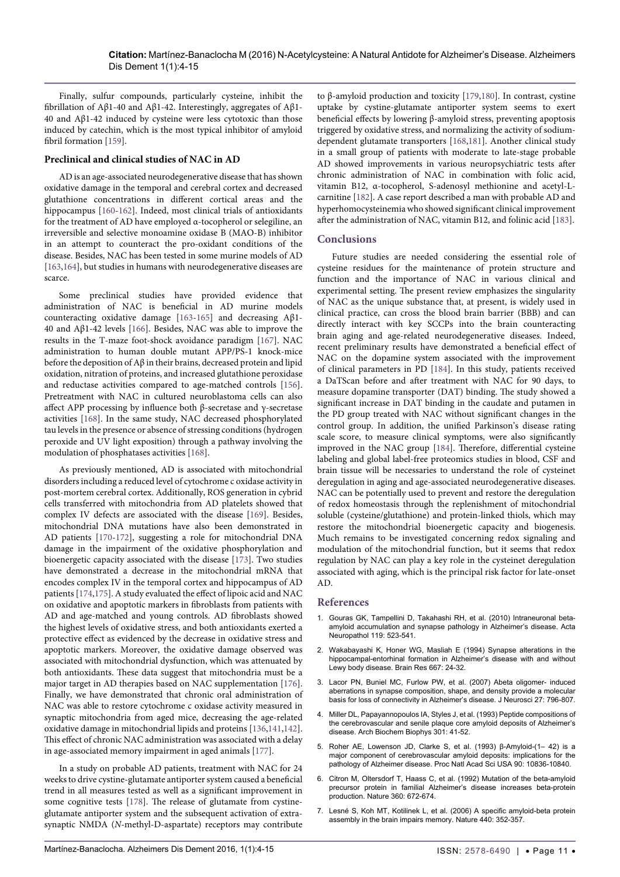Finally, sulfur compounds, particularly cysteine, inhibit the fibrillation of Aβ1-40 and Aβ1-42. Interestingly, aggregates of Aβ1- 40 and Aβ1-42 induced by cysteine were less cytotoxic than those induced by catechin, which is the most typical inhibitor of amyloid fibril formation [[159\]](#page-11-7).

#### **Preclinical and clinical studies of NAC in AD**

AD is an age-associated neurodegenerative disease that has shown oxidative damage in the temporal and cerebral cortex and decreased glutathione concentrations in different cortical areas and the hippocampus [[160-](#page-11-8)[162\]](#page-11-9). Indeed, most clinical trials of antioxidants for the treatment of AD have employed α-tocopherol or selegiline, an irreversible and selective monoamine oxidase B (MAO-B) inhibitor in an attempt to counteract the pro-oxidant conditions of the disease. Besides, NAC has been tested in some murine models of AD [[163,](#page-11-10)[164\]](#page-11-11), but studies in humans with neurodegenerative diseases are scarce.

Some preclinical studies have provided evidence that administration of NAC is beneficial in AD murine models counteracting oxidative damage [\[163](#page-11-10)-[165\]](#page-11-12) and decreasing Aβ1- 40 and Aβ1-42 levels [[166\]](#page-11-13). Besides, NAC was able to improve the results in the T-maze foot-shock avoidance paradigm [\[167\]](#page-11-14). NAC administration to human double mutant APP/PS-1 knock-mice before the deposition of Aβ in their brains, decreased protein and lipid oxidation, nitration of proteins, and increased glutathione peroxidase and reductase activities compared to age-matched controls [\[156](#page-10-32)]. Pretreatment with NAC in cultured neuroblastoma cells can also affect APP processing by influence both β-secretase and γ-secretase activities [\[168](#page-11-2)]. In the same study, NAC decreased phosphorylated tau levels in the presence or absence of stressing conditions (hydrogen peroxide and UV light exposition) through a pathway involving the modulation of phosphatases activities [\[168](#page-11-2)].

As previously mentioned, AD is associated with mitochondrial disorders including a reduced level of cytochrome c oxidase activity in post-mortem cerebral cortex. Additionally, ROS generation in cybrid cells transferred with mitochondria from AD platelets showed that complex IV defects are associated with the disease [\[169](#page-11-15)]. Besides, mitochondrial DNA mutations have also been demonstrated in AD patients [[170-](#page-11-16)[172\]](#page-11-17), suggesting a role for mitochondrial DNA damage in the impairment of the oxidative phosphorylation and bioenergetic capacity associated with the disease [[173\]](#page-11-18). Two studies have demonstrated a decrease in the mitochondrial mRNA that encodes complex IV in the temporal cortex and hippocampus of AD patients [[174,](#page-11-19)[175\]](#page-11-20). A study evaluated the effect of lipoic acid and NAC on oxidative and apoptotic markers in fibroblasts from patients with AD and age-matched and young controls. AD fibroblasts showed the highest levels of oxidative stress, and both antioxidants exerted a protective effect as evidenced by the decrease in oxidative stress and apoptotic markers. Moreover, the oxidative damage observed was associated with mitochondrial dysfunction, which was attenuated by both antioxidants. These data suggest that mitochondria must be a major target in AD therapies based on NAC supplementation [\[176](#page-11-21)]. Finally, we have demonstrated that chronic oral administration of NAC was able to restore cytochrome c oxidase activity measured in synaptic mitochondria from aged mice, decreasing the age-related oxidative damage in mitochondrial lipids and proteins [\[136](#page-10-43)[,141](#page-10-44)[,142](#page-10-45)]. This effect of chronic NAC administration was associated with a delay in age-associated memory impairment in aged animals [\[177](#page-11-22)].

In a study on probable AD patients, treatment with NAC for 24 weeks to drive cystine-glutamate antiporter system caused a beneficial trend in all measures tested as well as a significant improvement in some cognitive tests [\[178](#page-11-23)]. The release of glutamate from cystineglutamate antiporter system and the subsequent activation of extrasynaptic NMDA (*N*-methyl-D-aspartate) receptors may contribute

to β-amyloid production and toxicity [\[179](#page-11-0)[,180](#page-11-1)]. In contrast, cystine uptake by cystine-glutamate antiporter system seems to exert beneficial effects by lowering β-amyloid stress, preventing apoptosis triggered by oxidative stress, and normalizing the activity of sodiumdependent glutamate transporters [[168,](#page-11-2)[181\]](#page-11-3). Another clinical study in a small group of patients with moderate to late-stage probable AD showed improvements in various neuropsychiatric tests after chronic administration of NAC in combination with folic acid, vitamin B12, α-tocopherol, S-adenosyl methionine and acetyl-Lcarnitine [\[182](#page-11-4)]. A case report described a man with probable AD and hyperhomocysteinemia who showed significant clinical improvement after the administration of NAC, vitamin B12, and folinic acid [[183\]](#page-11-5).

## **Conclusions**

Future studies are needed considering the essential role of cysteine residues for the maintenance of protein structure and function and the importance of NAC in various clinical and experimental setting. The present review emphasizes the singularity of NAC as the unique substance that, at present, is widely used in clinical practice, can cross the blood brain barrier (BBB) and can directly interact with key SCCPs into the brain counteracting brain aging and age-related neurodegenerative diseases. Indeed, recent preliminary results have demonstrated a beneficial effect of NAC on the dopamine system associated with the improvement of clinical parameters in PD [[184\]](#page-11-6). In this study, patients received a DaTScan before and after treatment with NAC for 90 days, to measure dopamine transporter (DAT) binding. The study showed a significant increase in DAT binding in the caudate and putamen in the PD group treated with NAC without significant changes in the control group. In addition, the unified Parkinson's disease rating scale score, to measure clinical symptoms, were also significantly improved in the NAC group [\[184\]](#page-11-6). Therefore, differential cysteine labeling and global label-free proteomics studies in blood, CSF and brain tissue will be necessaries to understand the role of cysteinet deregulation in aging and age-associated neurodegenerative diseases. NAC can be potentially used to prevent and restore the deregulation of redox homeostasis through the replenishment of mitochondrial soluble (cysteine/glutathione) and protein-linked thiols, which may restore the mitochondrial bioenergetic capacity and biogenesis. Much remains to be investigated concerning redox signaling and modulation of the mitochondrial function, but it seems that redox regulation by NAC can play a key role in the cysteinet deregulation associated with aging, which is the principal risk factor for late-onset AD.

#### **References**

- <span id="page-7-0"></span>1. Gouras GK[, Tampellini D, Takahashi RH, et al.](https://www.ncbi.nlm.nih.gov/pubmed/20354705) (2010) Intraneuronal beta[amyloid accumulation and synapse pathology in Alzheimer's disease. Acta](https://www.ncbi.nlm.nih.gov/pubmed/20354705)  [Neuropathol 119: 523-541.](https://www.ncbi.nlm.nih.gov/pubmed/20354705)
- 2. [Wakabayashi K, Honer WG, Masliah E \(1994\) Synapse alterations in the](https://www.ncbi.nlm.nih.gov/pubmed/7895080)  [hippocampal-entorhinal formation in Alzheimer's disease with and without](https://www.ncbi.nlm.nih.gov/pubmed/7895080)  [Lewy body disease. Brain Res 667: 24-32.](https://www.ncbi.nlm.nih.gov/pubmed/7895080)
- <span id="page-7-1"></span>3. [Lacor PN, Buniel MC, Furlow PW, et al. \(2007\) Abeta oligomer- induced](https://www.ncbi.nlm.nih.gov/pubmed/17251419)  [aberrations in synapse composition, shape, and density provide a molecular](https://www.ncbi.nlm.nih.gov/pubmed/17251419)  [basis for loss of connectivity in Alzheimer's disease. J Neurosci 27: 796-807.](https://www.ncbi.nlm.nih.gov/pubmed/17251419)
- 4. [Miller DL, Papayannopoulos IA, Styles J, et al. \(1993\) Peptide compositions of](https://www.ncbi.nlm.nih.gov/pubmed/8442665)  [the cerebrovascular and senile plaque core amyloid deposits of Alzheimer's](https://www.ncbi.nlm.nih.gov/pubmed/8442665)  [disease. Arch Biochem Biophys 301: 41-52.](https://www.ncbi.nlm.nih.gov/pubmed/8442665)
- 5. R[oher AE, Lowenson JD, Clarke S, et al. \(1993\)](https://www.ncbi.nlm.nih.gov/pmc/articles/PMC47873/) β-Amyloid-(1– 42) is a [major component of cerebrovascular amyloid deposits: implications for the](https://www.ncbi.nlm.nih.gov/pmc/articles/PMC47873/)  [pathology of Alzheimer disease. Proc Natl Acad Sci USA 90: 10836-10840.](https://www.ncbi.nlm.nih.gov/pmc/articles/PMC47873/)
- <span id="page-7-2"></span>6. [Citron M, Oltersdorf T, Haass C, et al. \(1992\) Mutation of the beta-amyloid](https://www.ncbi.nlm.nih.gov/pubmed/1465129)  [precursor protein in familial Alzheimer's disease increases beta-protein](https://www.ncbi.nlm.nih.gov/pubmed/1465129)  [production. Nature 360: 672-674.](https://www.ncbi.nlm.nih.gov/pubmed/1465129)
- <span id="page-7-3"></span>7. [Lesné S, Koh MT, Kotilinek L, et al. \(2006\) A specific amyloid-beta protein](https://www.ncbi.nlm.nih.gov/pubmed/16541076)  [assembly in the brain impairs memory. Nature 440: 352-357.](https://www.ncbi.nlm.nih.gov/pubmed/16541076)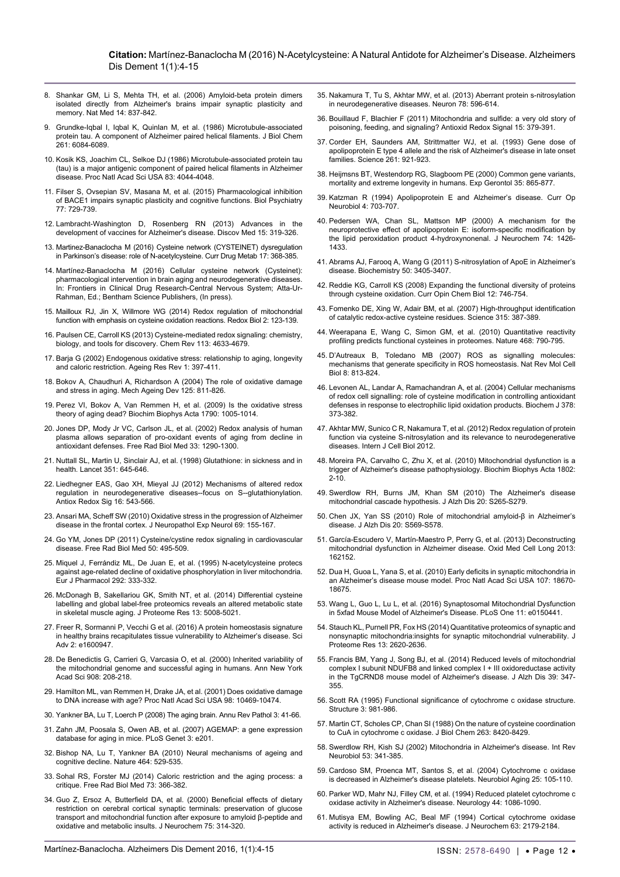- <span id="page-8-0"></span>8. [Shankar GM, Li S, Mehta TH, et al. \(2006\) Amyloid-beta protein dimers](https://www.ncbi.nlm.nih.gov/pmc/articles/PMC2772133/)  [isolated directly from Alzheimer's brains impair synaptic plasticity and](https://www.ncbi.nlm.nih.gov/pmc/articles/PMC2772133/)  [memory. Nat Med 14: 837-842.](https://www.ncbi.nlm.nih.gov/pmc/articles/PMC2772133/)
- <span id="page-8-1"></span>9. [Grundke-Iqbal I, Iqbal K, Quinlan M, et al. \(1986\) Microtubule-associated](https://www.ncbi.nlm.nih.gov/pubmed/3084478)  [protein tau. A component of Alzheimer paired helical filaments. J Biol Chem](https://www.ncbi.nlm.nih.gov/pubmed/3084478)  [261: 6084-6089.](https://www.ncbi.nlm.nih.gov/pubmed/3084478)
- <span id="page-8-2"></span>10. [Kosik KS, Joachim CL, Selkoe DJ \(1986\) Microtubule-associated protein tau](https://www.ncbi.nlm.nih.gov/pubmed/2424016)  [\(tau\) is a major antigenic component of paired helical filaments in Alzheimer](https://www.ncbi.nlm.nih.gov/pubmed/2424016)  [disease. Proc Natl Acad Sci USA 83: 4044-4048.](https://www.ncbi.nlm.nih.gov/pubmed/2424016)
- <span id="page-8-3"></span>11. [Filser S, Ovsepian SV, Masana M, et al. \(2015\) Pharmacological inhibition](https://www.ncbi.nlm.nih.gov/pubmed/25599931)  [of BACE1 impairs synaptic plasticity and cognitive functions. Biol Psychiatry](https://www.ncbi.nlm.nih.gov/pubmed/25599931)  [77: 729-739.](https://www.ncbi.nlm.nih.gov/pubmed/25599931)
- <span id="page-8-4"></span>12. Lambracht-Washington D, Rosenberg RN [\(2013\) Advances in the](https://www.ncbi.nlm.nih.gov/pubmed/23725605)  [development of vaccines for Alzheimer's disease. Discov Med 15: 319-326.](https://www.ncbi.nlm.nih.gov/pubmed/23725605)
- <span id="page-8-5"></span>13. [Martinez-Banaclocha M \(2016\) Cysteine network \(CYSTEINET\) dysregulation](https://www.ncbi.nlm.nih.gov/pubmed/26651975)  [in Parkinson's disease: role of N-acetylcysteine. Curr Drug Metab 17: 368-385.](https://www.ncbi.nlm.nih.gov/pubmed/26651975)
- <span id="page-8-6"></span>14. Martínez-Banaclocha M (2016) Cellular cysteine network (Cysteinet): pharmacological intervention in brain aging and neurodegenerative diseases. In: Frontiers in Clinical Drug Research-Central Nervous System; Atta-Ur-Rahman, Ed.; Bentham Science Publishers, (In press).
- <span id="page-8-7"></span>15. [Mailloux RJ, Jin X, Willmore WG \(2014\) Redox regulation of mitochondrial](https://www.ncbi.nlm.nih.gov/pmc/articles/PMC3895620/)  [function with emphasis on cysteine oxidation reactions. Redox Biol 2: 123-139.](https://www.ncbi.nlm.nih.gov/pmc/articles/PMC3895620/)
- <span id="page-8-8"></span>16. [Paulsen CE, Carroll KS \(2013\) Cysteine-mediated redox signaling: chemistry,](https://www.ncbi.nlm.nih.gov/pubmed/23514336)  [biology, and tools for discovery.](https://www.ncbi.nlm.nih.gov/pubmed/23514336) Chem Rev 113: 4633-4679.
- <span id="page-8-9"></span>17. [Barja G \(2002\) Endogenous oxidative stress: relationship to aging, longevity](https://www.ncbi.nlm.nih.gov/pubmed/12067594)  [and caloric restriction. Ageing Res Rev 1: 397-411.](https://www.ncbi.nlm.nih.gov/pubmed/12067594)
- 18. [Bokov A, Chaudhuri A, Richardson A \(2004\) The role of oxidative damage](https://www.ncbi.nlm.nih.gov/pubmed/15541775)  [and stress in aging. Mech Ageing Dev 125: 811-826.](https://www.ncbi.nlm.nih.gov/pubmed/15541775)
- <span id="page-8-10"></span>19. [Perez VI, Bokov A, Van Remmen H, et al. \(2009\)](https://www.ncbi.nlm.nih.gov/pubmed/19524016) Is the oxidative stress [theory of aging dead? Biochim Biophys Acta 1790: 1005-1014.](https://www.ncbi.nlm.nih.gov/pubmed/19524016)
- <span id="page-8-11"></span>20. [Jones DP, Mody Jr VC, Carlson JL, et al. \(2002\) Redox analysis of human](https://www.ncbi.nlm.nih.gov/pubmed/12398937)  [plasma allows separation of pro-oxidant events of aging from decline in](https://www.ncbi.nlm.nih.gov/pubmed/12398937)  [antioxidant defenses. Free Rad Biol Med 33: 1290-1300.](https://www.ncbi.nlm.nih.gov/pubmed/12398937)
- <span id="page-8-12"></span>21. [Nuttall SL, Martin U, Sinclair AJ, et al. \(1998\) Glutathione: in sickness and in](https://www.ncbi.nlm.nih.gov/pubmed/9500325)  [health. Lancet 351: 645-646.](https://www.ncbi.nlm.nih.gov/pubmed/9500325)
- <span id="page-8-13"></span>22. [Liedhegner EAS, Gao XH, Mieyal JJ \(2012\) Mechanisms of altered redox](https://www.ncbi.nlm.nih.gov/pubmed/22066468)  [regulation in neurodegenerative diseases--focus on S--glutathionylation.](https://www.ncbi.nlm.nih.gov/pubmed/22066468)  [Antiox Redox Sig 16: 543-566.](https://www.ncbi.nlm.nih.gov/pubmed/22066468)
- <span id="page-8-14"></span>23. [Ansari MA, Scheff SW \(2010\) Oxidative stress in the progression of Alzheimer](https://www.ncbi.nlm.nih.gov/pubmed/20084018)  [disease in the frontal cortex. J Neuropathol Exp Neurol 69: 155-167.](https://www.ncbi.nlm.nih.gov/pubmed/20084018)
- <span id="page-8-15"></span>24. [Go YM, Jones DP \(2011\) Cysteine/cystine redox signaling in cardiovascular](https://www.ncbi.nlm.nih.gov/pubmed/21130865)  [disease. Free Rad Biol Med 50: 495-509.](https://www.ncbi.nlm.nih.gov/pubmed/21130865)
- <span id="page-8-16"></span>25. [Miquel J, Ferrándiz ML, De Juan E, et al. \(1995\) N-acetylcysteine protecs](https://www.ncbi.nlm.nih.gov/pubmed/7796874)  [against age-related decline of oxidative phosphorylation in liver mitochondria.](https://www.ncbi.nlm.nih.gov/pubmed/7796874)  [Eur J Pharmacol 292: 333-332.](https://www.ncbi.nlm.nih.gov/pubmed/7796874)
- <span id="page-8-17"></span>26. [McDonagh B, Sakellariou GK, Smith NT, et al. \(2014\) Differential cysteine](https://www.ncbi.nlm.nih.gov/pubmed/25181601)  [labelling and global label-free proteomics reveals an altered metabolic state](https://www.ncbi.nlm.nih.gov/pubmed/25181601)  [in skeletal muscle aging. J Proteome Res 13: 5008-5021.](https://www.ncbi.nlm.nih.gov/pubmed/25181601)
- <span id="page-8-18"></span>27. [Freer R, Sormanni P, Vecchi G et al. \(2016\) A protein homeostasis signature](http://advances.sciencemag.org/content/2/8/e1600947)  [in healthy brains recapitulates tissue vulnerability to Alzheimer's disease. Sci](http://advances.sciencemag.org/content/2/8/e1600947)  [Adv 2: e1600947.](http://advances.sciencemag.org/content/2/8/e1600947)
- <span id="page-8-19"></span>28. [De Benedictis G, Carrieri G, Varcasia O, et al.](https://www.ncbi.nlm.nih.gov/pubmed/10911960) (2000) Inherited variability of [the mitochondrial genome and successful aging in humans. Ann New York](https://www.ncbi.nlm.nih.gov/pubmed/10911960)  [Acad Sci 908: 208-218.](https://www.ncbi.nlm.nih.gov/pubmed/10911960)
- <span id="page-8-20"></span>29. [Hamilton ML, van Remmen H, Drake JA, et al. \(2001\) Does oxidative damage](https://www.ncbi.nlm.nih.gov/pubmed/11517304)  [to DNA increase with age? Proc Natl Acad Sci USA 98: 10469-10474.](https://www.ncbi.nlm.nih.gov/pubmed/11517304)
- <span id="page-8-21"></span>30. [Yankner BA, Lu T, Loerch P \(2008\) The aging brain. Annu Rev Pathol 3: 41-66.](http://www.annualreviews.org/doi/abs/10.1146/annurev.pathmechdis.2.010506.092044?journalCode=pathmechdis)
- <span id="page-8-22"></span>31. [Zahn JM, Poosala S, Owen AB, et al. \(2007\) AGEMAP: a gene expression](https://www.ncbi.nlm.nih.gov/pubmed/18081424)  [database for aging in mice. PLoS Genet 3: e201.](https://www.ncbi.nlm.nih.gov/pubmed/18081424)
- <span id="page-8-23"></span>32. [Bishop NA, Lu T, Yankner BA \(2010\) Neural mechanisms of ageing and](https://www.ncbi.nlm.nih.gov/pubmed/20336135)  [cognitive decline. Nature 464: 529-535.](https://www.ncbi.nlm.nih.gov/pubmed/20336135)
- <span id="page-8-24"></span>33. [Sohal RS, Forster MJ \(2014\) Caloric restriction and the aging process: a](https://www.ncbi.nlm.nih.gov/pubmed/24941891)  [critique. Free Rad Biol Med 73: 366-382.](https://www.ncbi.nlm.nih.gov/pubmed/24941891)
- <span id="page-8-25"></span>34. [Guo Z, Ersoz A, Butterfield DA, et al. \(2000\) Beneficial effects of dietary](https://www.ncbi.nlm.nih.gov/pubmed/10854276)  [restriction on cerebral cortical synaptic terminals: preservation of glucose](https://www.ncbi.nlm.nih.gov/pubmed/10854276)  [transport and mitochondrial function after exposure to amyloid](https://www.ncbi.nlm.nih.gov/pubmed/10854276) β-peptide and [oxidative and metabolic insults. J Neurochem 75: 314-320.](https://www.ncbi.nlm.nih.gov/pubmed/10854276)
- <span id="page-8-26"></span>35. [Nakamura T, Tu S, Akhtar MW, et al. \(2013\) Aberrant protein s-nitrosylation](https://www.ncbi.nlm.nih.gov/pubmed/23719160)  in neurodegenerative diseases. Neuron 78: 596-614
- <span id="page-8-27"></span>36. [Bouillaud F, Blachier F \(2011\) Mitochondria and sulfide: a very old story of](https://www.ncbi.nlm.nih.gov/pubmed/21028947)  [poisoning, feeding, and signaling? Antioxid Redox Signal 15: 379-391.](https://www.ncbi.nlm.nih.gov/pubmed/21028947)
- <span id="page-8-28"></span>37. [Corder EH, Saunders AM, Strittmatter WJ, et al. \(1993\) Gene dose of](https://www.ncbi.nlm.nih.gov/pubmed/8346443)  [apolipoprotein E type 4 allele and the risk of Alzheimer's disease in late onset](https://www.ncbi.nlm.nih.gov/pubmed/8346443)  [families. Science 261: 921-923.](https://www.ncbi.nlm.nih.gov/pubmed/8346443)
- <span id="page-8-29"></span>38. [Heijmsns BT, Westendorp RG, Slagboom PE \(2000\) Common gene variants,](https://www.ncbi.nlm.nih.gov/pubmed/11053677)  [mortality and extreme longevity in humans. Exp Gerontol 35: 865-877.](https://www.ncbi.nlm.nih.gov/pubmed/11053677)
- <span id="page-8-30"></span>39. [Katzman R \(1994\) Apolipoprotein E and Alzheimer's disease. Curr Op](https://www.ncbi.nlm.nih.gov/pmc/articles/PMC3726719/)  [Neurobiol 4: 703-707.](https://www.ncbi.nlm.nih.gov/pmc/articles/PMC3726719/)
- <span id="page-8-31"></span>40. [Pedersen WA, Chan SL, Mattson MP \(2000\) A mechanism for the](https://www.ncbi.nlm.nih.gov/pubmed/10737598)  [neuroprotective effect of apolipoprotein E: isoform-specific modification by](https://www.ncbi.nlm.nih.gov/pubmed/10737598)  [the lipid peroxidation product 4-hydroxynonenal. J Neurochem 74: 1426-](https://www.ncbi.nlm.nih.gov/pubmed/10737598) [1433.](https://www.ncbi.nlm.nih.gov/pubmed/10737598)
- <span id="page-8-32"></span>41. [Abrams AJ, Farooq A, Wang G \(2011\) S-nitrosylation of ApoE in Alzheimer's](https://www.ncbi.nlm.nih.gov/pubmed/21443265)  [disease. Biochemistry 50: 3405-3407.](https://www.ncbi.nlm.nih.gov/pubmed/21443265)
- <span id="page-8-33"></span>42. [Reddie KG, Carroll KS \(2008\) Expanding the functional diversity of proteins](https://www.ncbi.nlm.nih.gov/pubmed/18804173)  [through cysteine oxidation. Curr Opin Chem Biol 12: 746-754.](https://www.ncbi.nlm.nih.gov/pubmed/18804173)
- <span id="page-8-34"></span>43. [Fomenko DE, Xing W, Adair BM, et al.](https://www.ncbi.nlm.nih.gov/pubmed/17234949) (2007) High-throughput identification [of catalytic redox-active cysteine residues. Science 315: 387-389.](https://www.ncbi.nlm.nih.gov/pubmed/17234949)
- <span id="page-8-35"></span>44. [Weerapana E, Wang C, Simon GM, et al. \(2010\) Quantitative reactivity](https://www.ncbi.nlm.nih.gov/pubmed/21085121)  [profiling predicts functional cysteines in proteomes. Nature](https://www.ncbi.nlm.nih.gov/pubmed/21085121) 468: 790-795.
- <span id="page-8-36"></span>45. [D'Autreaux B, Toledano MB \(2007\) ROS as signalling molecules:](https://www.ncbi.nlm.nih.gov/pubmed/17848967)  [mechanisms that generate specificity in ROS homeostasis. Nat Rev Mol Cell](https://www.ncbi.nlm.nih.gov/pubmed/17848967)  [Biol 8: 813-824.](https://www.ncbi.nlm.nih.gov/pubmed/17848967)
- <span id="page-8-37"></span>46. [Levonen AL, Landar A, Ramachandran A, et al. \(2004\) Cellular mechanisms](http://www.ncbi.nlm.nih.gov/pubmed/14616092)  [of redox cell signalling: role of cysteine modification in controlling antioxidant](http://www.ncbi.nlm.nih.gov/pubmed/14616092)  [defenses in response to electrophilic lipid oxidation products. Biochem J 378:](http://www.ncbi.nlm.nih.gov/pubmed/14616092)  [373-382.](http://www.ncbi.nlm.nih.gov/pubmed/14616092)
- <span id="page-8-38"></span>47. [Akhtar MW, Sunico C R, Nakamura T, et al. \(2012\) Redox regulation of protein](https://www.hindawi.com/journals/ijcb/2012/463756/)  [function via cysteine S-nitrosylation and its relevance to neurodegenerative](https://www.hindawi.com/journals/ijcb/2012/463756/)  [diseases. Intern J Cell Biol 2012.](https://www.hindawi.com/journals/ijcb/2012/463756/)
- <span id="page-8-39"></span>48. [Moreira PA, Carvalho C, Zhu X, et al. \(2010\) Mitochondrial dysfunction is a](http://www.ncbi.nlm.nih.gov/pubmed/19853658)  [trigger of Alzheimer's disease pathophysiology. Biochim Biophys Acta 1802:](http://www.ncbi.nlm.nih.gov/pubmed/19853658)  [2-10.](http://www.ncbi.nlm.nih.gov/pubmed/19853658)
- 49. [Swerdlow RH, Burns JM, Khan SM \(2010\) The Alzheimer's disease](http://www.ncbi.nlm.nih.gov/pubmed/20442494)  [mitochondrial cascade hypothesis. J Alzh Dis 20: S265-S279.](http://www.ncbi.nlm.nih.gov/pubmed/20442494)
- 50. [Chen JX, Yan SS \(2010\) Role of mitochondrial amyloid-β in Alzheimer's](http://www.ncbi.nlm.nih.gov/pubmed/20463403)  [disease. J Alzh Dis 20: S569-S578.](http://www.ncbi.nlm.nih.gov/pubmed/20463403)
- 51. [García-Escudero V, Martín-Maestro P, Perry G, et al. \(2013\) Deconstructing](http://www.ncbi.nlm.nih.gov/pubmed/23840916)  [mitochondrial dysfunction in Alzheimer disease. Oxid Med Cell Long 2013:](http://www.ncbi.nlm.nih.gov/pubmed/23840916)  [162152.](http://www.ncbi.nlm.nih.gov/pubmed/23840916)
- <span id="page-8-40"></span>52. [Dua H, Guoa L, Yana S, et al. \(2010\) Early deficits in synaptic mitochondria in](http://www.ncbi.nlm.nih.gov/pmc/articles/PMC2972922/)  [an Alzheimer's disease mouse model. Proc Natl Acad Sci USA 107: 18670-](http://www.ncbi.nlm.nih.gov/pmc/articles/PMC2972922/) [18675.](http://www.ncbi.nlm.nih.gov/pmc/articles/PMC2972922/)
- 53. [Wang L, Guo L, Lu L, et al. \(2016\) Synaptosomal Mitochondrial Dysfunction](http://www.ncbi.nlm.nih.gov/pubmed/26942905)  [in 5xfad Mouse Model of Alzheimer's Disease. PLoS One 11: e0150441.](http://www.ncbi.nlm.nih.gov/pubmed/26942905)
- <span id="page-8-41"></span>54. [Stauch KL, Purnell PR, Fox HS \(2014\) Quantitative proteomics of synaptic and](http://www.ncbi.nlm.nih.gov/pubmed/24708184)  [nonsynaptic mitochondria:insights for synaptic mitochondrial vulnerability. J](http://www.ncbi.nlm.nih.gov/pubmed/24708184)  [Proteome Res 13: 2620-2636.](http://www.ncbi.nlm.nih.gov/pubmed/24708184)
- <span id="page-8-42"></span>55. [Francis BM, Yang J, Song BJ, et al. \(2014\) Reduced levels of mitochondrial](http://www.ncbi.nlm.nih.gov/pubmed/24217272)  [complex I subunit NDUFB8 and linked complex I + III oxidoreductase activity](http://www.ncbi.nlm.nih.gov/pubmed/24217272)  [in the TgCRND8 mouse model of Alzheimer's disease. J Alzh Dis 39: 347-](http://www.ncbi.nlm.nih.gov/pubmed/24217272) [355.](http://www.ncbi.nlm.nih.gov/pubmed/24217272)
- <span id="page-8-43"></span>56. [Scott RA \(1995\) Functional significance of cytochrome c oxidase structure.](http://www.sciencedirect.com/science/article/pii/S0969212601002337)  [Structure](http://www.sciencedirect.com/science/article/pii/S0969212601002337) 3: 981-986.
- <span id="page-8-44"></span>57. [Martin CT, Scholes CP, Chan SI \(1988\) On the nature of cysteine coordination](http://www.ncbi.nlm.nih.gov/pubmed/2836423)  [to CuA in cytochrome c oxidase. J Biol Chem 263: 8420-8429.](http://www.ncbi.nlm.nih.gov/pubmed/2836423)
- <span id="page-8-45"></span>58. [Swerdlow RH, Kish SJ \(2002\) Mitochondria in Alzheimer's disease.](http://www.sciencedirect.com/science/article/pii/S0074774202530130) Int Rev [Neurobiol 53: 341-385.](http://www.sciencedirect.com/science/article/pii/S0074774202530130)
- 59. [Cardoso SM, Proenca MT, Santos S, et al. \(2004\) Cytochrome c oxidase](http://www.ncbi.nlm.nih.gov/pubmed/14675736)  [is decreased in Alzheimer's disease platelets.](http://www.ncbi.nlm.nih.gov/pubmed/14675736) Neurobiol Aging 25: 105-110.
- 60. [Parker WD, Mahr NJ, Filley CM, et al. \(1994\) Reduced platelet cytochrome c](http://www.ncbi.nlm.nih.gov/pubmed/8208406)  [oxidase activity in Alzheimer's disease.](http://www.ncbi.nlm.nih.gov/pubmed/8208406) Neurology 44: 1086-1090.
- <span id="page-8-46"></span>61. [Mutisya EM, Bowling AC, Beal MF \(1994\) Cortical cytochrome oxidase](http://www.ncbi.nlm.nih.gov/pubmed/7964738)  [activity is reduced in Alzheimer's disease.](http://www.ncbi.nlm.nih.gov/pubmed/7964738) J Neurochem 63: 2179-2184.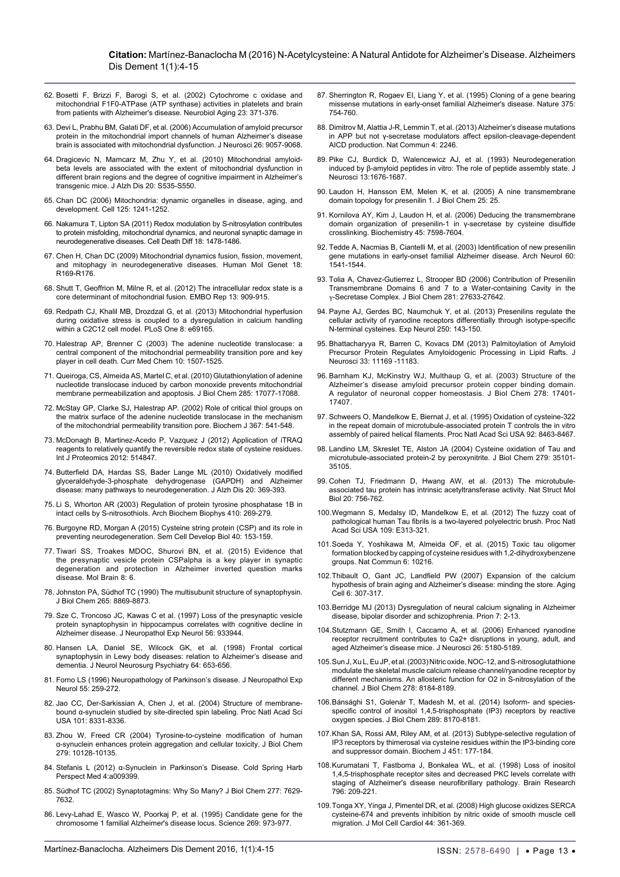#### **Citation:** Martínez-Banaclocha M (2016) N-Acetylcysteine: A Natural Antidote for Alzheimer's Disease. Alzheimers Dis Dement 1(1):4-15

- <span id="page-9-5"></span>62. [Bosetti F, Brizzi F, Barogi S, et al. \(2002\) Cytochrome c oxidase and](http://www.ncbi.nlm.nih.gov/pubmed/11959398)  [mitochondrial F1F0-ATPase \(ATP synthase\) activities in platelets and brain](http://www.ncbi.nlm.nih.gov/pubmed/11959398)  [from patients with Alzheimer's disease.](http://www.ncbi.nlm.nih.gov/pubmed/11959398) Neurobiol Aging 23: 371-376.
- <span id="page-9-6"></span>63. [Devi L, Prabhu BM, Galati DF, et al. \(2006\) Accumulation of amyloid precursor](http://www.ncbi.nlm.nih.gov/pubmed/16943564)  [protein in the mitochondrial import channels of human Alzheimer's disease](http://www.ncbi.nlm.nih.gov/pubmed/16943564)  [brain is associated with mitochondrial dysfunction. J Neurosci 26: 9057-9068.](http://www.ncbi.nlm.nih.gov/pubmed/16943564)
- <span id="page-9-7"></span>64. [Dragicevic N, Mamcarz M, Zhu Y, et al. \(2010\) Mitochondrial amyloid](http://www.ncbi.nlm.nih.gov/pubmed/20463404)[beta levels are associated with the extent of mitochondrial dysfunction in](http://www.ncbi.nlm.nih.gov/pubmed/20463404)  [different brain regions and the degree of cognitive impairment in Alzheimer's](http://www.ncbi.nlm.nih.gov/pubmed/20463404)  [transgenic mice. J Alzh Dis 20: S535-S550.](http://www.ncbi.nlm.nih.gov/pubmed/20463404)
- <span id="page-9-8"></span>65. [Chan DC \(2006\) Mitochondria: dynamic organelles in disease, aging, and](http://www.ncbi.nlm.nih.gov/pubmed/16814712)  [development. Cell 125: 1241-1252.](http://www.ncbi.nlm.nih.gov/pubmed/16814712)
- <span id="page-9-9"></span>66. [Nakamura T, Lipton SA \(2011\) Redox modulation by S-nitrosylation contributes](http://www.ncbi.nlm.nih.gov/pubmed/21597461)  [to protein misfolding, mitochondrial dynamics, and neuronal synaptic damage in](http://www.ncbi.nlm.nih.gov/pubmed/21597461)  [neurodegenerative diseases. Cell Death Diff 18: 1478-1486.](http://www.ncbi.nlm.nih.gov/pubmed/21597461)
- <span id="page-9-10"></span>67. [Chen H, Chan DC \(2009\) Mitochondrial dynamics fusion, fission, movement,](http://www.ncbi.nlm.nih.gov/pubmed/19808793)  [and mitophagy in neurodegenerative diseases. Human Mol Genet 1](http://www.ncbi.nlm.nih.gov/pubmed/19808793)8: R169-R176.
- <span id="page-9-11"></span>68. [Shutt T, Geoffrion M, Milne R, et al. \(2012\) The intracellular redox state is a](http://www.ncbi.nlm.nih.gov/pubmed/22945481)  [core determinant of mitochondrial fusion. EMBO Rep 13: 909-915.](http://www.ncbi.nlm.nih.gov/pubmed/22945481)
- <span id="page-9-12"></span>69. [Redpath CJ, Khalil MB, Drozdzal G, et al. \(2013\) Mitochondrial hyperfusion](http://www.ncbi.nlm.nih.gov/pubmed/23861961)  [during oxidative stress is coupled to a dysregulation in calcium handling](http://www.ncbi.nlm.nih.gov/pubmed/23861961)  [within a C2C12 cell model. PLoS One 8: e69165.](http://www.ncbi.nlm.nih.gov/pubmed/23861961)
- <span id="page-9-0"></span>70. [Halestrap AP, Brenner C \(2003\) The adenine nucleotide translocase: a](http://www.ncbi.nlm.nih.gov/pubmed/12871123)  [central component of the mitochondrial permeability transition pore and key](http://www.ncbi.nlm.nih.gov/pubmed/12871123)  [player in cell death. Curr Med Chem 10: 1507-1525.](http://www.ncbi.nlm.nih.gov/pubmed/12871123)
- <span id="page-9-1"></span>71. [Queiroga, CS, Almeida AS, Martel C, et al. \(2010\) Glutathionylation of adenine](http://www.ncbi.nlm.nih.gov/pubmed/20348099)  [nucleotide translocase induced by carbon monoxide prevents mitochondrial](http://www.ncbi.nlm.nih.gov/pubmed/20348099)  [membrane permeabilization and apoptosis. J Biol Chem 285: 17077-17088.](http://www.ncbi.nlm.nih.gov/pubmed/20348099)
- <span id="page-9-2"></span>72. McStay [GP, Clarke SJ, Halestrap AP. \(2002\) Role of critical thiol groups on](http://www.ncbi.nlm.nih.gov/pmc/articles/PMC1222909/)  [the matrix surface of the adenine nucleotide translocase in the mechanism](http://www.ncbi.nlm.nih.gov/pmc/articles/PMC1222909/)  [of the mitochondrial permeability transition pore. Biochem J 367: 541-548.](http://www.ncbi.nlm.nih.gov/pmc/articles/PMC1222909/)
- <span id="page-9-3"></span>73. [McDonagh B, Martinez-Acedo P, Vazquez J \(2012\) Application of iTRAQ](https://www.hindawi.com/journals/ijpro/2012/514847/)  [reagents to relatively quantify the reversible redox state of cysteine residues.](https://www.hindawi.com/journals/ijpro/2012/514847/)  [Int J Proteomics 2012: 514847.](https://www.hindawi.com/journals/ijpro/2012/514847/)
- <span id="page-9-4"></span>74. [Butterfield DA, Hardas SS, Bader Lange ML \(2010\) Oxidatively modified](http://www.ncbi.nlm.nih.gov/pubmed/20164570)  [glyceraldehyde-3-phosphate dehydrogenase \(GAPDH\) and Alzheimer](http://www.ncbi.nlm.nih.gov/pubmed/20164570)  [disease: many pathways to neurodegeneration. J Alzh Dis 20: 369-393.](http://www.ncbi.nlm.nih.gov/pubmed/20164570)
- <span id="page-9-21"></span>75. [Li S, Whorton AR \(2003\) Regulation of protein tyrosine phosphatase 1B in](http://www.ncbi.nlm.nih.gov/pubmed/12573287)  [intact cells by S-nitrosothiols. Arch Biochem Biophys 410: 269-279.](http://www.ncbi.nlm.nih.gov/pubmed/12573287)
- <span id="page-9-22"></span>76. [Burgoyne RD, Morgan A \(2015\) Cysteine string protein \(CSP\) and its role in](http://www.ncbi.nlm.nih.gov/pubmed/25800794)  [preventing neurodegeneration. Sem Cell Develop Biol 40: 153-159.](http://www.ncbi.nlm.nih.gov/pubmed/25800794)
- <span id="page-9-23"></span>77. Tiwari SS, Troakes MDOC, Shurovi BN, et al. (2015) Evidence that the presynaptic vesicle protein CSPalpha is a key player in synaptic degeneration and protection in Alzheimer inverted question marks disease. Mol Brain 8: 6.
- <span id="page-9-24"></span>78. [Johnston PA, Südhof TC \(1990\) The multisubunit structure of synaptophysin.](http://www.jbc.org/content/265/15/8869.full.pdf)  [J Biol Chem 265: 8869-8873.](http://www.jbc.org/content/265/15/8869.full.pdf)
- <span id="page-9-25"></span>79. [Sze C, Troncoso JC, Kawas C et al. \(1997\) Loss of the presynaptic vesicle](http://www.ncbi.nlm.nih.gov/pubmed/9258263)  [protein synaptophysin in hippocampus correlates with cognitive decline in](http://www.ncbi.nlm.nih.gov/pubmed/9258263)  [Alzheimer disease. J Neuropathol Exp Neurol 56: 933944.](http://www.ncbi.nlm.nih.gov/pubmed/9258263)
- <span id="page-9-26"></span>80. [Hansen LA, Daniel SE, Wilcock GK, et al. \(1998\) Frontal cortical](http://jnnp.bmj.com/content/64/5/653.full)  [synaptophysin in Lewy body diseases: relation to Alzheimer's disease and](http://jnnp.bmj.com/content/64/5/653.full)  [dementia. J Neurol Neurosurg Psychiatry 64: 653-656.](http://jnnp.bmj.com/content/64/5/653.full)
- <span id="page-9-27"></span>81. [Forno LS \(1996\) Neuropathology of Parkinson's disease. J Neuropathol Exp](http://www.ncbi.nlm.nih.gov/pubmed/8786384)  [Neurol 55: 259-272.](http://www.ncbi.nlm.nih.gov/pubmed/8786384)
- <span id="page-9-28"></span>82. [Jao CC, Der-Sarkissian A, Chen J, et al. \(2004\) Structure of membrane](http://www.ncbi.nlm.nih.gov/pubmed/15155902)bound α[-synuclein studied by site-directed spin labeling. Proc Natl Acad Sci](http://www.ncbi.nlm.nih.gov/pubmed/15155902)  [USA 101: 8331-8336.](http://www.ncbi.nlm.nih.gov/pubmed/15155902)
- <span id="page-9-29"></span>83. [Zhou W, Freed CR \(2004\) Tyrosine-to-cysteine modification of human](http://www.ncbi.nlm.nih.gov/pubmed/14699135)  α[-synuclein enhances protein aggregation and cellular toxicity. J Biol Chem](http://www.ncbi.nlm.nih.gov/pubmed/14699135)  [279: 10128-10135.](http://www.ncbi.nlm.nih.gov/pubmed/14699135)
- <span id="page-9-30"></span>84. Stefanis L (2012) α[-Synuclein in Parkinson's Disease. Cold Spring Harb](http://www.ncbi.nlm.nih.gov/pmc/articles/PMC3281589/)  [Perspect Med 4:a009399.](http://www.ncbi.nlm.nih.gov/pmc/articles/PMC3281589/)
- <span id="page-9-31"></span>85. [Südhof TC \(2002\) Synaptotagmins: Why So Many? J Biol Chem 277: 7629-](http://www.ncbi.nlm.nih.gov/pubmed/11739399) [7632.](http://www.ncbi.nlm.nih.gov/pubmed/11739399)
- <span id="page-9-32"></span>86. [Levy-Lahad E, Wasco W, Poorkaj P, et al. \(1995\) Candidate gene for the](http://www.ncbi.nlm.nih.gov/pubmed/7638622)  [chromosome 1 familial Alzheimer's disease locus. Science 2](http://www.ncbi.nlm.nih.gov/pubmed/7638622)69: 973-977.
- <span id="page-9-33"></span>87. [Sherrington R, Rogaev EI, Liang Y, et al. \(1995\) Cloning of a gene bearing](http://www.ncbi.nlm.nih.gov/pubmed/7596406)  [missense mutations in early-onset familial Alzheimer's disease. Nature](http://www.ncbi.nlm.nih.gov/pubmed/7596406) 375: 754-760.
- <span id="page-9-34"></span>88. [Dimitrov M, Alattia J-R, Lemmin T, et al. \(2013\) Alzheimer's disease mutations](http://www.ncbi.nlm.nih.gov/pubmed/23907250)  [in APP but not γ-secretase modulators affect epsilon-cleavage-dependent](http://www.ncbi.nlm.nih.gov/pubmed/23907250)  [AICD production. Nat Commun 4: 2246.](http://www.ncbi.nlm.nih.gov/pubmed/23907250)
- <span id="page-9-35"></span>89. [Pike CJ, Burdick D, Walencewicz AJ, et al](http://www.ncbi.nlm.nih.gov/pubmed/8463843)*.* (1993) Neurodegeneration [induced by β-amyloid peptides in vitro: The role of peptide assembly state. J](http://www.ncbi.nlm.nih.gov/pubmed/8463843)  [Neurosci 13:1676-1687.](http://www.ncbi.nlm.nih.gov/pubmed/8463843)
- <span id="page-9-36"></span>90. [Laudon H, Hansson EM, Melen K, et al. \(2005\) A nine transmembrane](http://www.jbc.org/content/280/42/35352.full)  [domain topology for presenilin 1. J Biol Chem 25: 25.](http://www.jbc.org/content/280/42/35352.full)
- <span id="page-9-37"></span>91. [Kornilova AY, Kim J, Laudon H, et al. \(2006\) Deducing the transmembrane](http://www.ncbi.nlm.nih.gov/pmc/articles/PMC2597485/)  [domain organization of presenilin-1 in γ-secretase by cysteine disulfide](http://www.ncbi.nlm.nih.gov/pmc/articles/PMC2597485/)  [crosslinking. Biochemistry 45: 7598-7604.](http://www.ncbi.nlm.nih.gov/pmc/articles/PMC2597485/)
- <span id="page-9-38"></span>92. [Tedde A, Nacmias B, Ciantelli M, et al. \(2003\) Identification of new presenilin](http://www.ncbi.nlm.nih.gov/pubmed/14623725)  [gene mutations in early-onset familial Alzheimer disease. Arch Neurol 60:](http://www.ncbi.nlm.nih.gov/pubmed/14623725)  [1541-1544.](http://www.ncbi.nlm.nih.gov/pubmed/14623725)
- <span id="page-9-39"></span>93. [Tolia A, Chavez-Gutierrez L, Strooper BD \(2006\) Contribution of Presenilin](http://www.ncbi.nlm.nih.gov/pubmed/16844686)  [Transmembrane Domains 6 and 7 to a Water-containing Cavity in the](http://www.ncbi.nlm.nih.gov/pubmed/16844686)  γ[-Secretase Complex. J Biol Chem 281: 27633-27642.](http://www.ncbi.nlm.nih.gov/pubmed/16844686)
- <span id="page-9-13"></span>94. [Payne AJ, Gerdes BC, Naumchuk Y, et al. \(2013\) Presenilins regulate the](http://www.ncbi.nlm.nih.gov/pubmed/24029002)  [cellular activity of ryanodine receptors differentially through isotype-specific](http://www.ncbi.nlm.nih.gov/pubmed/24029002)  [N-terminal cysteines. Exp Neurol 250: 143-150.](http://www.ncbi.nlm.nih.gov/pubmed/24029002)
- <span id="page-9-14"></span>95. [Bhattacharyya R, Barren C, Kovacs DM \(2013\) Palmitoylation of Amyloid](http://www.ncbi.nlm.nih.gov/pubmed/23825420)  [Precursor Protein Regulates Amyloidogenic Processing in Lipid Rafts. J](http://www.ncbi.nlm.nih.gov/pubmed/23825420)  [Neurosci 33: 11169 -11183.](http://www.ncbi.nlm.nih.gov/pubmed/23825420)
- <span id="page-9-15"></span>96. [Barnham KJ, McKinstry WJ, Multhaup G, et al. \(2003\) Structure of the](http://www.ncbi.nlm.nih.gov/pubmed/12611883)  [Alzheimer's disease amyloid precursor protein copper binding domain.](http://www.ncbi.nlm.nih.gov/pubmed/12611883)  [A regulator of neuronal copper homeostasis. J Biol Chem 278: 17401-](http://www.ncbi.nlm.nih.gov/pubmed/12611883) [17407.](http://www.ncbi.nlm.nih.gov/pubmed/12611883)
- <span id="page-9-16"></span>97. [Schweers O, Mandelkow E, Biernat J, et al. \(1995\) Oxidation of cysteine-322](http://www.ncbi.nlm.nih.gov/pmc/articles/PMC41177/)  [in the repeat domain of microtubule-associated protein T controls the in vitro](http://www.ncbi.nlm.nih.gov/pmc/articles/PMC41177/)  assembly of paired helical filaments. [Proc Natl Acad Sci USA 92: 8463-8467.](http://www.ncbi.nlm.nih.gov/pmc/articles/PMC41177/)
- <span id="page-9-17"></span>98. [Landino LM, Skreslet TE, Alston JA \(2004\) Cysteine oxidation of Tau and](http://www.ncbi.nlm.nih.gov/pubmed/15184375)  [microtubule-associated protein-2 by peroxynitrite. J Biol Chem 279: 35101-](http://www.ncbi.nlm.nih.gov/pubmed/15184375) [35105.](http://www.ncbi.nlm.nih.gov/pubmed/15184375)
- <span id="page-9-18"></span>99. [Cohen TJ, Friedmann D, Hwang AW, et al. \(2013\) The microtubule](http://www.ncbi.nlm.nih.gov/pubmed/23624859)[associated tau protein has intrinsic acetyltransferase activity. Nat Struct Mol](http://www.ncbi.nlm.nih.gov/pubmed/23624859)  [Biol 20: 756-762.](http://www.ncbi.nlm.nih.gov/pubmed/23624859)
- <span id="page-9-19"></span>100.[Wegmann S, Medalsy ID, Mandelkow E, et al. \(2012\) The fuzzy coat of](http://www.ncbi.nlm.nih.gov/pubmed/23269837)  [pathological human Tau fibrils is a two-layered polyelectric brush. Proc Natl](http://www.ncbi.nlm.nih.gov/pubmed/23269837)  [Acad Sci USA 109: E313-321.](http://www.ncbi.nlm.nih.gov/pubmed/23269837)
- <span id="page-9-20"></span>101.[Soeda Y, Yoshikawa M, Almeida OF, et al. \(2015\) Toxic tau oligomer](http://www.ncbi.nlm.nih.gov/pubmed/8208406)  [formation blocked by capping of cysteine residues with 1,2-dihydroxybenzene](http://www.ncbi.nlm.nih.gov/pubmed/8208406)  [groups. Nat Commun](http://www.ncbi.nlm.nih.gov/pubmed/8208406) 6: 10216.
- <span id="page-9-40"></span>102.[Thibault O, Gant JC, Landfield PW \(2007\) Expansion of the calcium](http://www.ncbi.nlm.nih.gov/pubmed/17465978)  [hypothesis of brain aging and Alzheimer's disease: minding the store. Aging](http://www.ncbi.nlm.nih.gov/pubmed/17465978)  [Cell 6: 307-317.](http://www.ncbi.nlm.nih.gov/pubmed/17465978)
- <span id="page-9-41"></span>103.[Berridge MJ \(2013\) Dysregulation of neural calcium signaling in Alzheimer](http://www.ncbi.nlm.nih.gov/pubmed/22895098)  [disease, bipolar disorder and schizophrenia. Prion 7: 2-13.](http://www.ncbi.nlm.nih.gov/pubmed/22895098)
- <span id="page-9-42"></span>104.[Stutzmann GE, Smith I, Caccamo A, et al. \(2006\) Enhanced ryanodine](http://www.ncbi.nlm.nih.gov/pubmed/16687509)  [receptor recruitment contributes to Ca2+ disruptions in young, adult, and](http://www.ncbi.nlm.nih.gov/pubmed/16687509)  [aged Alzheimer's disease mice. J Neurosci](http://www.ncbi.nlm.nih.gov/pubmed/16687509) 26: 5180-5189.
- <span id="page-9-43"></span>105.[Sun J, Xu L, Eu JP, et al. \(2003\) Nitric oxide, NOC-12, and S-nitrosoglutathione](http://www.jbc.org/content/278/10/8184.short)  [modulate the skeletal muscle calcium release channel/ryanodine receptor by](http://www.jbc.org/content/278/10/8184.short)  [different mechanisms. An allosteric function for O2 in S-nitrosylation of the](http://www.jbc.org/content/278/10/8184.short)  [channel. J Biol Chem 278: 8184-8189.](http://www.jbc.org/content/278/10/8184.short)
- <span id="page-9-44"></span>106.[Bánsághi S1, Golenár T, Madesh M, et al. \(2014\) Isoform- and species](http://www.ncbi.nlm.nih.gov/pubmed/24469450)specific control of inositol 1,4,5-trisphosphate (IP3) receptors by reactive [oxygen species. J Biol Chem 289: 8170-8181.](http://www.ncbi.nlm.nih.gov/pubmed/24469450)
- <span id="page-9-45"></span>107.[Khan SA, Rossi AM, Riley AM, et al. \(2013\) Subtype-selective regulation of](http://www.ncbi.nlm.nih.gov/pmc/articles/PMC3610541/)  [IP3 receptors by thimerosal via cysteine residues within the IP3-binding core](http://www.ncbi.nlm.nih.gov/pmc/articles/PMC3610541/)  [and suppressor domain. Biochem J 4](http://www.ncbi.nlm.nih.gov/pmc/articles/PMC3610541/)51: 177-184.
- <span id="page-9-46"></span>108.[Kurumatani T, Fastboma J, Bonkalea WL, et al. \(1998\) Loss of inositol](http://www.ncbi.nlm.nih.gov/pubmed/9689471)  [1,4,5-trisphosphate receptor sites and decreased PKC levels correlate with](http://www.ncbi.nlm.nih.gov/pubmed/9689471)  [staging of Alzheimer's disease neurofibrillary pathology. Brain Research](http://www.ncbi.nlm.nih.gov/pubmed/9689471)  796: 209-221.
- <span id="page-9-47"></span>109.[Tonga XY, Yinga J, Pimentel DR, et al. \(2008\) High glucose oxidizes SERCA](http://www.ncbi.nlm.nih.gov/pubmed/18164028)  [cysteine-674 and prevents inhibition by nitric oxide of smooth muscle cell](http://www.ncbi.nlm.nih.gov/pubmed/18164028)  [migration. J Mol Cell Cardiol 44: 361-369.](http://www.ncbi.nlm.nih.gov/pubmed/18164028)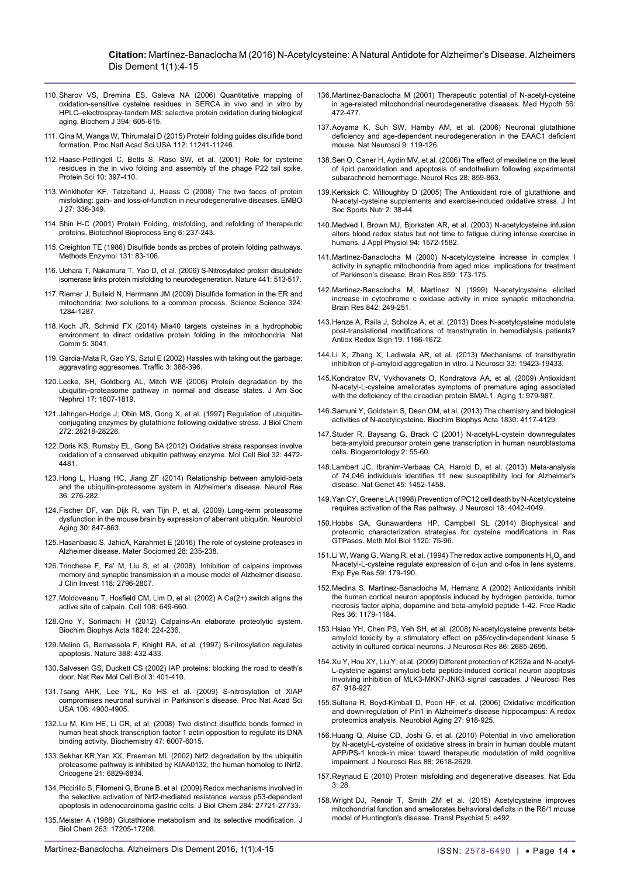- <span id="page-10-14"></span>110.[Sharov VS, Dremina ES, Galeva NA \(2006\) Quantitative mapping of](http://www.ncbi.nlm.nih.gov/pubmed/16307534)  [oxidation-sensitive cysteine residues in SERCA in vivo and in vitro by](http://www.ncbi.nlm.nih.gov/pubmed/16307534)  [HPLC–electrospray-tandem MS: selective protein oxidation during biological](http://www.ncbi.nlm.nih.gov/pubmed/16307534)  [aging. Biochem J 394: 605-615.](http://www.ncbi.nlm.nih.gov/pubmed/16307534)
- <span id="page-10-15"></span>111. [Qina M, Wanga W, Thirumalai D \(2015\) Protein folding guides disulfide bond](http://www.pnas.org/content/112/36/11241)  [formation. Proc Natl Acad Sci USA 112: 11241-11246.](http://www.pnas.org/content/112/36/11241)
- <span id="page-10-16"></span>112. [Haase-Pettingell C, Betts S, Raso SW, et al. \(2001\) Role for cysteine](http://www.ncbi.nlm.nih.gov/pmc/articles/PMC2373931/)  [residues in the in vivo folding and assembly of the phage P22 tail spike.](http://www.ncbi.nlm.nih.gov/pmc/articles/PMC2373931/)  [Protein Sci 10: 397-410.](http://www.ncbi.nlm.nih.gov/pmc/articles/PMC2373931/)
- <span id="page-10-17"></span>113.[Winklhofer KF, Tatzeltand J, Haass C \(2008\) The two faces of protein](http://www.ncbi.nlm.nih.gov/pubmed/18216876)  [misfolding: gain- and loss-of-function in neurodegenerative diseases. EMBO](http://www.ncbi.nlm.nih.gov/pubmed/18216876)  [J 27: 336-349.](http://www.ncbi.nlm.nih.gov/pubmed/18216876)
- <span id="page-10-18"></span>114.[Shin H-C \(2001\) Protein Folding, misfolding, and refolding of therapeutic](http://link.springer.com/article/10.1007/BF02931984)  [proteins. Biotechnol Bioprocess Eng 6: 237-243.](http://link.springer.com/article/10.1007/BF02931984)
- <span id="page-10-19"></span>115. [Creighton TE \(1986\) Disulfide bonds as probes of protein folding pathways.](http://www.ncbi.nlm.nih.gov/pubmed/3773775)  [Methods Enzymol 131: 83-106.](http://www.ncbi.nlm.nih.gov/pubmed/3773775)
- <span id="page-10-20"></span>116. [Uehara T, Nakamura T, Yao D, et al. \(2006\) S-Nitrosylated protein disulphide](http://www.ncbi.nlm.nih.gov/pubmed/16724068)  [isomerase links protein misfolding to neurodegeneration. Nature 441: 513-517.](http://www.ncbi.nlm.nih.gov/pubmed/16724068)
- <span id="page-10-21"></span>117. [Riemer J, Bulleid N, Herrmann JM \(2009\) Disulfide formation in the ER and](http://www.ncbi.nlm.nih.gov/pubmed/19498160)  [mitochondria: two solutions to a common process. Science](http://www.ncbi.nlm.nih.gov/pubmed/19498160) Science 324: 1284-1287.
- <span id="page-10-0"></span>118.[Koch JR, Schmid FX \(2014\) Mia40 targets cysteines in a hydrophobic](http://www.ncbi.nlm.nih.gov/pubmed/24407114)  [environment to direct oxidative protein folding in the mitochondria. Nat](http://www.ncbi.nlm.nih.gov/pubmed/24407114)  [Comm 5: 3041.](http://www.ncbi.nlm.nih.gov/pubmed/24407114)
- <span id="page-10-1"></span>119.[Garcia-Mata R, Gao YS, Sztul E \(2002\) Hassles with taking out the garbage:](http://www.ncbi.nlm.nih.gov/pubmed/12010457)  [aggravating aggresomes. Traffic 3: 388-396.](http://www.ncbi.nlm.nih.gov/pubmed/12010457)
- <span id="page-10-2"></span>120.[Lecke, SH, Goldberg AL, Mitch WE \(2006\) Protein degradation by the](http://www.ncbi.nlm.nih.gov/pubmed/16738015)  [ubiquitin–proteasome pathway in normal and disease states. J Am Soc](http://www.ncbi.nlm.nih.gov/pubmed/16738015)  [Nephrol 17: 1807-1819.](http://www.ncbi.nlm.nih.gov/pubmed/16738015)
- <span id="page-10-3"></span>121.[Jahngen-Hodge J; Obin MS, Gong X, et al. \(1997\) Regulation of ubiquitin](http://www.ncbi.nlm.nih.gov/pubmed/9353272)[conjugating enzymes by glutathione following oxidative stress. J Biol Chem](http://www.ncbi.nlm.nih.gov/pubmed/9353272)  [272: 28218-28226.](http://www.ncbi.nlm.nih.gov/pubmed/9353272)
- <span id="page-10-4"></span>122.[Doris KS, Rumsby EL, Gong BA \(2012\) Oxidative stress responses involve](http://www.ncbi.nlm.nih.gov/pubmed/22949505)  [oxidation of a conserved ubiquitin pathway enzyme. Mol Cell Biol 32: 4472-](http://www.ncbi.nlm.nih.gov/pubmed/22949505) [4481.](http://www.ncbi.nlm.nih.gov/pubmed/22949505)
- <span id="page-10-5"></span>123.[Hong L, Huang HC, Jiang ZF \(2014\) Relationship between amyloid-beta](http://www.ncbi.nlm.nih.gov/pubmed/24512022)  [and the ubiquitin-proteasome system in Alzheimer's disease. Neurol Res](http://www.ncbi.nlm.nih.gov/pubmed/24512022)  [36: 276-282.](http://www.ncbi.nlm.nih.gov/pubmed/24512022)
- <span id="page-10-6"></span>124.[Fischer DF, van Dijk R, van Tijn P, et al](http://www.ncbi.nlm.nih.gov/pubmed/18760506)*.* (2009) Long-term proteasome [dysfunction in the mouse brain by expression of aberrant ubiquitin. Neurobiol](http://www.ncbi.nlm.nih.gov/pubmed/18760506)  [Aging 30: 847-863.](http://www.ncbi.nlm.nih.gov/pubmed/18760506)
- <span id="page-10-7"></span>125.[Hasanbasic S, JahicA, Karahmet E \(2016\) The role of cysteine proteases in](http://www.ncbi.nlm.nih.gov/pmc/articles/PMC4949049/)  [Alzheimer disease. Mater Sociomed 28: 235-238.](http://www.ncbi.nlm.nih.gov/pmc/articles/PMC4949049/)
- <span id="page-10-8"></span>126.[Trinchese F, Fa' M, Liu S, et al. \(2008\). Inhibition of calpains improves](http://www.ncbi.nlm.nih.gov/pubmed/18596919)  [memory and synaptic transmission in a mouse model of Alzheimer disease.](http://www.ncbi.nlm.nih.gov/pubmed/18596919)  [J Clin Invest 1](http://www.ncbi.nlm.nih.gov/pubmed/18596919)18: 2796-2807.
- <span id="page-10-9"></span>127.[Moldoveanu T, Hosfield CM, Lim D, et al. \(2002\) A Ca\(2+\) switch aligns the](http://www.ncbi.nlm.nih.gov/pubmed/11893336)  [active site of calpain. Cell 108: 649-660.](http://www.ncbi.nlm.nih.gov/pubmed/11893336)
- <span id="page-10-10"></span>128.[Ono Y, Sorimachi H \(2012\) Calpains-An elaborate proteolytic system.](http://www.ncbi.nlm.nih.gov/pubmed/21864727)  [Biochim Biophys Acta 1824: 224-236.](http://www.ncbi.nlm.nih.gov/pubmed/21864727)
- <span id="page-10-11"></span>129.[Melino G, Bernassola F, Knight RA, et al. \(1997\) S-nitrosylation regulates](http://www.ncbi.nlm.nih.gov/pubmed/9242400)  [apoptosis. Nature 388: 432-433.](http://www.ncbi.nlm.nih.gov/pubmed/9242400)
- <span id="page-10-12"></span>130.[Salvesen GS, Duckett CS \(2002\) IAP proteins: blocking the road to death's](http://www.ncbi.nlm.nih.gov/pubmed/12042762)  [door. Nat Rev Mol Cell Biol 3: 401-410.](http://www.ncbi.nlm.nih.gov/pubmed/12042762)
- <span id="page-10-13"></span>131.[Tsang AHK, Lee YIL, Ko HS et al. \(2009\) S-nitrosylation of XIAP](http://www.ncbi.nlm.nih.gov/pubmed/19273858)  [compromises neuronal survival in Parkinson's disease. Proc Nat Acad Sci](http://www.ncbi.nlm.nih.gov/pubmed/19273858)  [USA 106: 4900-4905.](http://www.ncbi.nlm.nih.gov/pubmed/19273858)
- <span id="page-10-35"></span>132.[Lu M, Kim HE, Li CR, et al. \(2008\) Two distinct disulfide bonds formed in](http://www.ncbi.nlm.nih.gov/pubmed/18457423)  [human heat shock transcription factor 1 actin opposition to regulate its DNA](http://www.ncbi.nlm.nih.gov/pubmed/18457423)  [binding activity. Biochemistry 47: 6007-6015.](http://www.ncbi.nlm.nih.gov/pubmed/18457423)
- <span id="page-10-36"></span>133.[Sekhar KR,Yan XX, Freeman ML \(2002\) Nrf2 degradation by the ubiquitin](http://www.ncbi.nlm.nih.gov/pubmed/12360409)  [proteasome pathway is inhibited by KIAA0132, the human homolog to INrf2.](http://www.ncbi.nlm.nih.gov/pubmed/12360409)  [Oncogene 21: 6829-6834.](http://www.ncbi.nlm.nih.gov/pubmed/12360409)
- <span id="page-10-37"></span>134.[Piccirillo S, Filomeni G, Brune B, et al. \(2009\)](http://www.ncbi.nlm.nih.gov/pubmed/19643729) Redox mechanisms involved in [the selective activation of Nrf2-mediated resistance](http://www.ncbi.nlm.nih.gov/pubmed/19643729) *versus* p53-dependent [apoptosis in adenocarcinoma gastric cells. J Biol Chem 284: 27721-27733.](http://www.ncbi.nlm.nih.gov/pubmed/19643729)
- <span id="page-10-38"></span>135.[Meister A \(1988\) Glutathione metabolism and its selective modification. J](http://www.ncbi.nlm.nih.gov/pubmed/3053703)  [Biol Chem 263:](http://www.ncbi.nlm.nih.gov/pubmed/3053703) 17205-17208.
- <span id="page-10-43"></span>136.[Martínez-Banaclocha M \(2001\) Therapeutic potential of N-acetyl-cysteine](http://www.ncbi.nlm.nih.gov/pubmed/11339849)  [in age-related mitochondrial neurodegenerative diseases. Med Hypoth 56:](http://www.ncbi.nlm.nih.gov/pubmed/11339849)  [472-477.](http://www.ncbi.nlm.nih.gov/pubmed/11339849)
- <span id="page-10-39"></span>137.[Aoyama K, Suh SW, Hamby AM, et al. \(2006\) Neuronal glutathione](http://www.ncbi.nlm.nih.gov/pubmed/16311588)  [deficiency and age-dependent neurodegeneration in the EAAC1 deficient](http://www.ncbi.nlm.nih.gov/pubmed/16311588)  [mouse. Nat Neurosci 9: 119-126.](http://www.ncbi.nlm.nih.gov/pubmed/16311588)
- <span id="page-10-40"></span>138.[Sen O, Caner H, Aydin MV, et al. \(2006\) The effect of mexiletine on the level](http://www.ncbi.nlm.nih.gov/pubmed/17288746)  [of lipid peroxidation and apoptosis of endothelium following experimental](http://www.ncbi.nlm.nih.gov/pubmed/17288746)  [subarachnoid hemorrhage. Neurol Res 28: 859-863.](http://www.ncbi.nlm.nih.gov/pubmed/17288746)
- <span id="page-10-41"></span>139.[Kerksick C, Willoughby D \(2005\) The Antioxidant role of glutathione and](http://www.ncbi.nlm.nih.gov/pubmed/18500954)  [N-acetyl-cysteine supplements and exercise-induced oxidative stress. J Int](http://www.ncbi.nlm.nih.gov/pubmed/18500954)  [Soc Sports Nutr 2: 38-44.](http://www.ncbi.nlm.nih.gov/pubmed/18500954)
- <span id="page-10-42"></span>140.[Medved I, Brown MJ, Bjorksten AR, et al. \(2003\) N-acetylcysteine infusion](http://www.ncbi.nlm.nih.gov/pubmed/12496140)  [alters blood redox status but not time to fatigue during intense exercise in](http://www.ncbi.nlm.nih.gov/pubmed/12496140)  [humans. J Appl Physiol 94: 1572-1582.](http://www.ncbi.nlm.nih.gov/pubmed/12496140)
- <span id="page-10-44"></span>141.[Martínez-Banaclocha M \(2000\) N-acetylcysteine increase in complex I](http://www.ncbi.nlm.nih.gov/pubmed/10720628)  [activity in synaptic mitochondria from aged mice: implications for treatment](http://www.ncbi.nlm.nih.gov/pubmed/10720628)  [of Parkinson's disease. Brain Res 859: 173-175.](http://www.ncbi.nlm.nih.gov/pubmed/10720628)
- <span id="page-10-45"></span>142.[Martínez-Banaclocha M, Martínez N \(1999\) N-acetylcysteine elicited](http://www.ncbi.nlm.nih.gov/pubmed/10526120)  [increase in cytochrome c oxidase activity in mice synaptic mitochondria.](http://www.ncbi.nlm.nih.gov/pubmed/10526120)  [Brain Res 842: 249-251.](http://www.ncbi.nlm.nih.gov/pubmed/10526120)
- <span id="page-10-46"></span>143.[Henze A, Raila J, Scholze A, et al. \(2013\) Does N-acetylcysteine modulate](http://www.ncbi.nlm.nih.gov/pubmed/23249342)  [post-translational modifications of transthyretin in hemodialysis patients?](http://www.ncbi.nlm.nih.gov/pubmed/23249342)  .<br>[Antiox Redox Sign 19: 1166-1672.](http://www.ncbi.nlm.nih.gov/pubmed/23249342)
- <span id="page-10-47"></span>144.[Li X, Zhang X, Ladiwala AR, et al. \(2013\) Mechanisms of transthyretin](http://www.ncbi.nlm.nih.gov/pubmed/24336709)  inhibition of β[-amyloid aggregation in vitro. J Neurosci 33: 19423-19433.](http://www.ncbi.nlm.nih.gov/pubmed/24336709)
- <span id="page-10-48"></span>145.[Kondratov RV, Vykhovanets O, Kondratova AA, et al. \(2009\) Antioxidant](http://www.ncbi.nlm.nih.gov/pmc/articles/PMC2815755/)  [N-acetyl-L-cysteine ameliorates symptoms of premature aging associated](http://www.ncbi.nlm.nih.gov/pmc/articles/PMC2815755/)  [with the deficiency of the circadian protein BMAL1. Aging 1: 979-987.](http://www.ncbi.nlm.nih.gov/pmc/articles/PMC2815755/)
- <span id="page-10-22"></span>146.[Samuni Y, Goldstein S, Dean OM, et al. \(2013\) The chemistry and biological](http://www.ncbi.nlm.nih.gov/pubmed/23618697)  [activities of N-acetylcysteine. Biochim Biophys Acta 1830: 4117-4129.](http://www.ncbi.nlm.nih.gov/pubmed/23618697)
- <span id="page-10-23"></span>147.[Studer R, Baysang G, Brack C \(2001\) N-acetyl-L-cystein downregulates](http://www.ncbi.nlm.nih.gov/pubmed/11708617)  [beta-amyloid precursor protein gene transcription in human neuroblastoma](http://www.ncbi.nlm.nih.gov/pubmed/11708617)  [cells. Biogerontology 2: 55-60.](http://www.ncbi.nlm.nih.gov/pubmed/11708617)
- <span id="page-10-24"></span>148.[Lambert JC, Ibrahim-Verbaas CA, Harold D, et al. \(2013\) Meta-analysis](http://www.ncbi.nlm.nih.gov/pubmed/24162737)  [of 74,046 individuals identifies 11 new susceptibility loci for Alzheimer's](http://www.ncbi.nlm.nih.gov/pubmed/24162737)  [disease. Nat Genet 45: 1452-1458.](http://www.ncbi.nlm.nih.gov/pubmed/24162737)
- <span id="page-10-25"></span>149.[Yan CY, Greene LA \(1998\) Prevention of PC12 cell death by N-Acetylcysteine](http://www.ncbi.nlm.nih.gov/pubmed/9592085)  [requires activation of the Ras pathway. J Neurosci 18: 4042-4049.](http://www.ncbi.nlm.nih.gov/pubmed/9592085)
- <span id="page-10-26"></span>150.[Hobbs GA, Gunawardena HP, Campbell SL \(2014\) Biophysical and](http://www.ncbi.nlm.nih.gov/pubmed/24470020)  [proteomic characterization strategies for cysteine modifications in Ras](http://www.ncbi.nlm.nih.gov/pubmed/24470020)  [GTPases. Meth Mol Biol](http://www.ncbi.nlm.nih.gov/pubmed/24470020) 1120: 75-96.
- <span id="page-10-27"></span>151. Li W, Wang G, Wang R, et al. (1994) The redox active components  $H_2O_2$  and N-acetyl-L-cysteine regulate expression of c-jun and c-fos in lens systems. [Exp Eye Res 59: 179-190.](http://www.ncbi.nlm.nih.gov/pubmed/7835407)
- <span id="page-10-28"></span>152.[Medina S, Martinez-Banaclocha M, Hernanz A \(2002\) Antioxidants inhibit](http://www.ncbi.nlm.nih.gov/pubmed/12592670)  [the human cortical neuron apoptosis induced by hydrogen peroxide, tumor](http://www.ncbi.nlm.nih.gov/pubmed/12592670)  [necrosis factor alpha, dopamine and beta-amyloid peptide 1-42. Free Radic](http://www.ncbi.nlm.nih.gov/pubmed/12592670)  [Res 36: 1179-1184.](http://www.ncbi.nlm.nih.gov/pubmed/12592670)
- <span id="page-10-29"></span>153.[Hsiao YH, Chen PS, Yeh SH, et al. \(2008\) N-acetylcysteine prevents beta](http://www.ncbi.nlm.nih.gov/pubmed/18512759)[amyloid toxicity by a stimulatory effect on p35/cyclin-dependent kinase 5](http://www.ncbi.nlm.nih.gov/pubmed/18512759)  [activity in cultured cortical neurons. J Neurosci Res 86: 2685-2695.](http://www.ncbi.nlm.nih.gov/pubmed/18512759)
- <span id="page-10-30"></span>154.[Xu Y, Hou XY, Liu Y, et al. \(2009\) Different protection of K252a and N-acetyl-](http://www.ncbi.nlm.nih.gov/pubmed/18951497)[L-cysteine against amyloid-beta peptide-induced cortical neuron apoptosis](http://www.ncbi.nlm.nih.gov/pubmed/18951497)  [involving inhibition of MLK3-MKK7-JNK3 signal cascades. J Neurosci Res](http://www.ncbi.nlm.nih.gov/pubmed/18951497)  [87: 918-927.](http://www.ncbi.nlm.nih.gov/pubmed/18951497)
- <span id="page-10-31"></span>155.[Sultana R, Boyd-Kimball D, Poon HF, et al. \(2006\) Oxidative modification](http://www.ncbi.nlm.nih.gov/pubmed/15950321)  [and down-regulation of Pin1 in Alzheimer's disease hippocampus: A redox](http://www.ncbi.nlm.nih.gov/pubmed/15950321)  [proteomics analysis. Neurobiol Aging 27: 918-925.](http://www.ncbi.nlm.nih.gov/pubmed/15950321)
- <span id="page-10-32"></span>156.[Huang Q, Aluise CD, Joshi G, et al. \(2010\) Potential in vivo amelioration](http://www.ncbi.nlm.nih.gov/pubmed/20648652)  [by N-acetyl-L-cysteine of oxidative stress in brain in human double mutant](http://www.ncbi.nlm.nih.gov/pubmed/20648652)  [APP/PS-1 knock-in mice: toward therapeutic modulation of mild cognitive](http://www.ncbi.nlm.nih.gov/pubmed/20648652)  [impairment. J Neurosci Res 88: 2618-2629.](http://www.ncbi.nlm.nih.gov/pubmed/20648652)
- <span id="page-10-33"></span>157.[Reynaud E \(2010\) Protein misfolding and degenerative diseases. Nat Edu](http://www.nature.com/scitable/topicpage/protein-misfolding-and-degenerative-diseases-14434929)  [3: 28.](http://www.nature.com/scitable/topicpage/protein-misfolding-and-degenerative-diseases-14434929)
- <span id="page-10-34"></span>158.Wright DJ, Renoir T, Smith [ZM et al. \(2015\) Acetylcysteine improves](http://www.ncbi.nlm.nih.gov/pubmed/25562842)  [mitochondrial function and ameliorates behavioral deficits in the R6/1 mouse](http://www.ncbi.nlm.nih.gov/pubmed/25562842)  [model of Huntington's disease. Transl Psychiat 5: e492.](http://www.ncbi.nlm.nih.gov/pubmed/25562842)